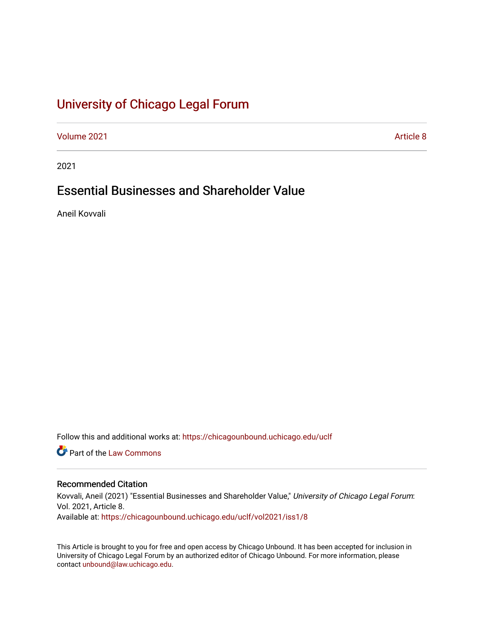# [University of Chicago Legal Forum](https://chicagounbound.uchicago.edu/uclf)

[Volume 2021](https://chicagounbound.uchicago.edu/uclf/vol2021) **Article 8** Article 8

2021

# Essential Businesses and Shareholder Value

Aneil Kovvali

Follow this and additional works at: [https://chicagounbound.uchicago.edu/uclf](https://chicagounbound.uchicago.edu/uclf?utm_source=chicagounbound.uchicago.edu%2Fuclf%2Fvol2021%2Fiss1%2F8&utm_medium=PDF&utm_campaign=PDFCoverPages) 

**C** Part of the [Law Commons](https://network.bepress.com/hgg/discipline/578?utm_source=chicagounbound.uchicago.edu%2Fuclf%2Fvol2021%2Fiss1%2F8&utm_medium=PDF&utm_campaign=PDFCoverPages)

# Recommended Citation

Kovvali, Aneil (2021) "Essential Businesses and Shareholder Value," University of Chicago Legal Forum: Vol. 2021, Article 8. Available at: [https://chicagounbound.uchicago.edu/uclf/vol2021/iss1/8](https://chicagounbound.uchicago.edu/uclf/vol2021/iss1/8?utm_source=chicagounbound.uchicago.edu%2Fuclf%2Fvol2021%2Fiss1%2F8&utm_medium=PDF&utm_campaign=PDFCoverPages) 

This Article is brought to you for free and open access by Chicago Unbound. It has been accepted for inclusion in University of Chicago Legal Forum by an authorized editor of Chicago Unbound. For more information, please contact [unbound@law.uchicago.edu](mailto:unbound@law.uchicago.edu).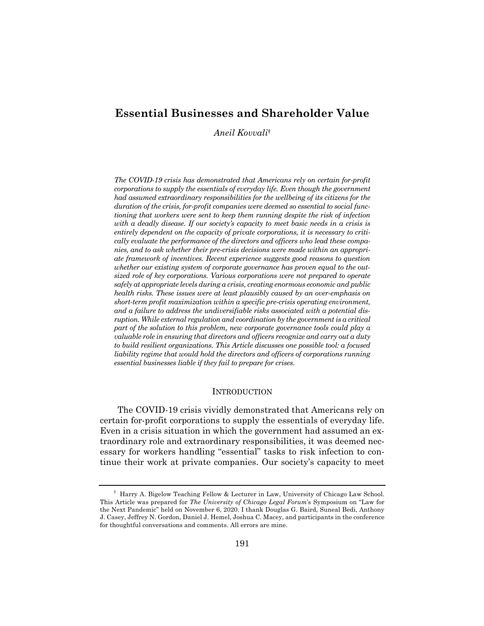# **Essential Businesses and Shareholder Value**

*Aneil Kovvali*†

*The COVID-19 crisis has demonstrated that Americans rely on certain for-profit corporations to supply the essentials of everyday life. Even though the government had assumed extraordinary responsibilities for the wellbeing of its citizens for the duration of the crisis, for-profit companies were deemed so essential to social functioning that workers were sent to keep them running despite the risk of infection with a deadly disease. If our society's capacity to meet basic needs in a crisis is entirely dependent on the capacity of private corporations, it is necessary to critically evaluate the performance of the directors and officers who lead these companies, and to ask whether their pre-crisis decisions were made within an appropriate framework of incentives. Recent experience suggests good reasons to question whether our existing system of corporate governance has proven equal to the outsized role of key corporations. Various corporations were not prepared to operate safely at appropriate levels during a crisis, creating enormous economic and public health risks. These issues were at least plausibly caused by an over-emphasis on short-term profit maximization within a specific pre-crisis operating environment, and a failure to address the undiversifiable risks associated with a potential disruption. While external regulation and coordination by the government is a critical part of the solution to this problem, new corporate governance tools could play a valuable role in ensuring that directors and officers recognize and carry out a duty to build resilient organizations. This Article discusses one possible tool: a focused liability regime that would hold the directors and officers of corporations running essential businesses liable if they fail to prepare for crises.*

#### **INTRODUCTION**

The COVID-19 crisis vividly demonstrated that Americans rely on certain for-profit corporations to supply the essentials of everyday life. Even in a crisis situation in which the government had assumed an extraordinary role and extraordinary responsibilities, it was deemed necessary for workers handling "essential" tasks to risk infection to continue their work at private companies. Our society's capacity to meet

<sup>†</sup> Harry A. Bigelow Teaching Fellow & Lecturer in Law, University of Chicago Law School. This Article was prepared for *The University of Chicago Legal Forum*'s Symposium on "Law for the Next Pandemic" held on November 6, 2020. I thank Douglas G. Baird, Suneal Bedi, Anthony J. Casey, Jeffrey N. Gordon, Daniel J. Hemel, Joshua C. Macey, and participants in the conference for thoughtful conversations and comments. All errors are mine.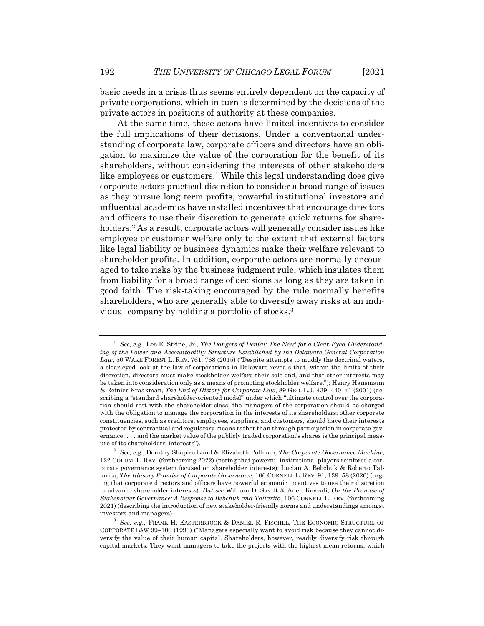basic needs in a crisis thus seems entirely dependent on the capacity of private corporations, which in turn is determined by the decisions of the private actors in positions of authority at these companies.

At the same time, these actors have limited incentives to consider the full implications of their decisions. Under a conventional understanding of corporate law, corporate officers and directors have an obligation to maximize the value of the corporation for the benefit of its shareholders, without considering the interests of other stakeholders like employees or customers.<sup>1</sup> While this legal understanding does give corporate actors practical discretion to consider a broad range of issues as they pursue long term profits, powerful institutional investors and influential academics have installed incentives that encourage directors and officers to use their discretion to generate quick returns for shareholders.<sup>2</sup> As a result, corporate actors will generally consider issues like employee or customer welfare only to the extent that external factors like legal liability or business dynamics make their welfare relevant to shareholder profits. In addition, corporate actors are normally encouraged to take risks by the business judgment rule, which insulates them from liability for a broad range of decisions as long as they are taken in good faith. The risk-taking encouraged by the rule normally benefits shareholders, who are generally able to diversify away risks at an individual company by holding a portfolio of stocks.3

<sup>1</sup> *See, e.g.*, Leo E. Strine, Jr., *The Dangers of Denial: The Need for a Clear-Eyed Understanding of the Power and Accountability Structure Established by the Delaware General Corporation Law*, 50 WAKE FOREST L. REV. 761, 768 (2015) ("Despite attempts to muddy the doctrinal waters, a clear-eyed look at the law of corporations in Delaware reveals that, within the limits of their discretion, directors must make stockholder welfare their sole end, and that other interests may be taken into consideration only as a means of promoting stockholder welfare."); Henry Hansmann & Reinier Kraakman, *The End of History for Corporate Law*, 89 GEO. L.J. 439, 440–41 (2001) (describing a "standard shareholder-oriented model" under which "ultimate control over the corporation should rest with the shareholder class; the managers of the corporation should be charged with the obligation to manage the corporation in the interests of its shareholders; other corporate constituencies, such as creditors, employees, suppliers, and customers, should have their interests protected by contractual and regulatory means rather than through participation in corporate governance; . . . and the market value of the publicly traded corporation's shares is the principal measure of its shareholders' interests").

<sup>2</sup> *See, e.g.*, Dorothy Shapiro Lund & Elizabeth Pollman, *The Corporate Governance Machine*, 122 COLUM. L. REV. (forthcoming 2022) (noting that powerful institutional players reinforce a corporate governance system focused on shareholder interests); Lucian A. Bebchuk & Roberto Tallarita, *The Illusory Promise of Corporate Governance*, 106 CORNELL L. REV. 91, 139–58 (2020) (urging that corporate directors and officers have powerful economic incentives to use their discretion to advance shareholder interests). *But see* William D. Savitt & Aneil Kovvali, *On the Promise of Stakeholder Governance: A Response to Bebchuk and Tallarita*, 106 CORNELL L. REV. (forthcoming 2021) (describing the introduction of new stakeholder-friendly norms and understandings amongst investors and managers).

<sup>3</sup> *See, e.g.*, FRANK H. EASTERBROOK & DANIEL R. FISCHEL, THE ECONOMIC STRUCTURE OF CORPORATE LAW 99–100 (1993) ("Managers especially want to avoid risk because they cannot diversify the value of their human capital. Shareholders, however, readily diversify risk through capital markets. They want managers to take the projects with the highest mean returns, which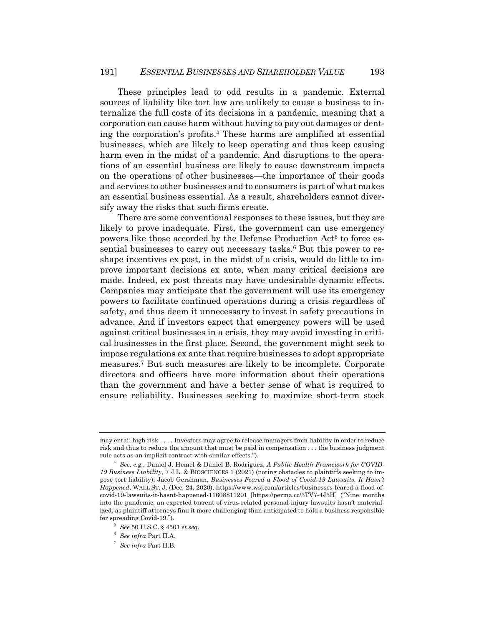These principles lead to odd results in a pandemic. External sources of liability like tort law are unlikely to cause a business to internalize the full costs of its decisions in a pandemic, meaning that a corporation can cause harm without having to pay out damages or denting the corporation's profits.4 These harms are amplified at essential businesses, which are likely to keep operating and thus keep causing harm even in the midst of a pandemic. And disruptions to the operations of an essential business are likely to cause downstream impacts on the operations of other businesses—the importance of their goods and services to other businesses and to consumers is part of what makes an essential business essential. As a result, shareholders cannot diversify away the risks that such firms create.

There are some conventional responses to these issues, but they are likely to prove inadequate. First, the government can use emergency powers like those accorded by the Defense Production Act<sup>5</sup> to force essential businesses to carry out necessary tasks.6 But this power to reshape incentives ex post, in the midst of a crisis, would do little to improve important decisions ex ante, when many critical decisions are made. Indeed, ex post threats may have undesirable dynamic effects. Companies may anticipate that the government will use its emergency powers to facilitate continued operations during a crisis regardless of safety, and thus deem it unnecessary to invest in safety precautions in advance. And if investors expect that emergency powers will be used against critical businesses in a crisis, they may avoid investing in critical businesses in the first place. Second, the government might seek to impose regulations ex ante that require businesses to adopt appropriate measures.7 But such measures are likely to be incomplete. Corporate directors and officers have more information about their operations than the government and have a better sense of what is required to ensure reliability. Businesses seeking to maximize short-term stock

may entail high risk . . . . Investors may agree to release managers from liability in order to reduce risk and thus to reduce the amount that must be paid in compensation . . . the business judgment rule acts as an implicit contract with similar effects.").

<sup>4</sup> *See, e.g.*, Daniel J. Hemel & Daniel B. Rodriguez, *A Public Health Framework for COVID-19 Business Liability*, 7 J.L. & BIOSCIENCES 1 (2021) (noting obstacles to plaintiffs seeking to impose tort liability); Jacob Gershman, *Businesses Feared a Flood of Covid-19 Lawsuits. It Hasn't Happened*, WALL ST. J. (Dec. 24, 2020), https://www.wsj.com/articles/businesses-feared-a-flood-ofcovid-19-lawsuits-it-hasnt-happened-11608811201 [https://perma.cc/3TV7-4J5H] ("Nine months into the pandemic, an expected torrent of virus-related personal-injury lawsuits hasn't materialized, as plaintiff attorneys find it more challenging than anticipated to hold a business responsible for spreading Covid-19.").

<sup>5</sup> *See* 50 U.S.C. § 4501 *et seq*.

<sup>6</sup> *See infra* Part II.A.

<sup>7</sup> *See infra* Part II.B.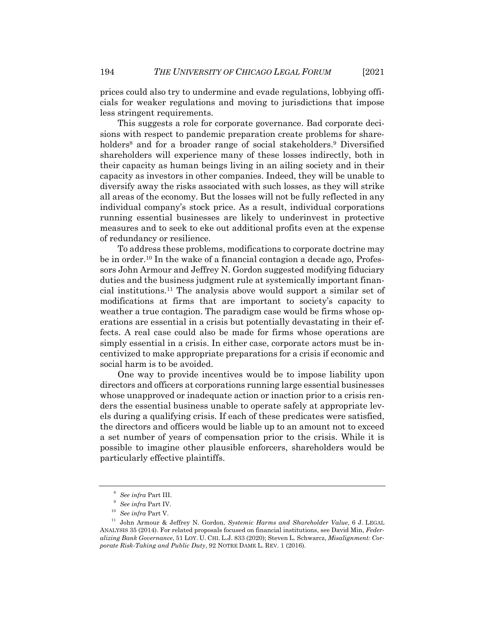prices could also try to undermine and evade regulations, lobbying officials for weaker regulations and moving to jurisdictions that impose less stringent requirements.

This suggests a role for corporate governance. Bad corporate decisions with respect to pandemic preparation create problems for shareholders<sup>8</sup> and for a broader range of social stakeholders.<sup>9</sup> Diversified shareholders will experience many of these losses indirectly, both in their capacity as human beings living in an ailing society and in their capacity as investors in other companies. Indeed, they will be unable to diversify away the risks associated with such losses, as they will strike all areas of the economy. But the losses will not be fully reflected in any individual company's stock price. As a result, individual corporations running essential businesses are likely to underinvest in protective measures and to seek to eke out additional profits even at the expense of redundancy or resilience.

To address these problems, modifications to corporate doctrine may be in order.10 In the wake of a financial contagion a decade ago, Professors John Armour and Jeffrey N. Gordon suggested modifying fiduciary duties and the business judgment rule at systemically important financial institutions.11 The analysis above would support a similar set of modifications at firms that are important to society's capacity to weather a true contagion. The paradigm case would be firms whose operations are essential in a crisis but potentially devastating in their effects. A real case could also be made for firms whose operations are simply essential in a crisis. In either case, corporate actors must be incentivized to make appropriate preparations for a crisis if economic and social harm is to be avoided.

One way to provide incentives would be to impose liability upon directors and officers at corporations running large essential businesses whose unapproved or inadequate action or inaction prior to a crisis renders the essential business unable to operate safely at appropriate levels during a qualifying crisis. If each of these predicates were satisfied, the directors and officers would be liable up to an amount not to exceed a set number of years of compensation prior to the crisis. While it is possible to imagine other plausible enforcers, shareholders would be particularly effective plaintiffs.

<sup>8</sup> *See infra* Part III.

<sup>9</sup> *See infra* Part IV.

<sup>10</sup> *See infra* Part V.

<sup>11</sup> John Armour & Jeffrey N. Gordon, *Systemic Harms and Shareholder Value*, 6 J. LEGAL ANALYSIS 35 (2014). For related proposals focused on financial institutions, see David Min, *Federalizing Bank Governance*, 51 LOY. U. CHI. L.J. 833 (2020); Steven L. Schwarcz, *Misalignment: Corporate Risk-Taking and Public Duty*, 92 NOTRE DAME L. REV. 1 (2016).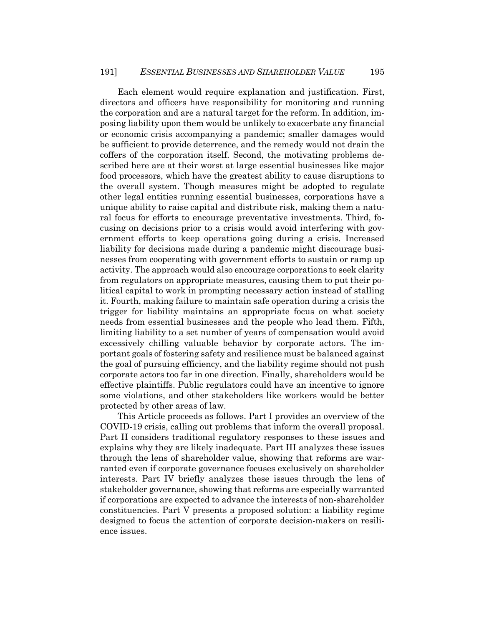Each element would require explanation and justification. First, directors and officers have responsibility for monitoring and running the corporation and are a natural target for the reform. In addition, imposing liability upon them would be unlikely to exacerbate any financial or economic crisis accompanying a pandemic; smaller damages would be sufficient to provide deterrence, and the remedy would not drain the coffers of the corporation itself. Second, the motivating problems described here are at their worst at large essential businesses like major food processors, which have the greatest ability to cause disruptions to the overall system. Though measures might be adopted to regulate other legal entities running essential businesses, corporations have a unique ability to raise capital and distribute risk, making them a natural focus for efforts to encourage preventative investments. Third, focusing on decisions prior to a crisis would avoid interfering with government efforts to keep operations going during a crisis. Increased liability for decisions made during a pandemic might discourage businesses from cooperating with government efforts to sustain or ramp up activity. The approach would also encourage corporations to seek clarity from regulators on appropriate measures, causing them to put their political capital to work in prompting necessary action instead of stalling it. Fourth, making failure to maintain safe operation during a crisis the trigger for liability maintains an appropriate focus on what society needs from essential businesses and the people who lead them. Fifth, limiting liability to a set number of years of compensation would avoid excessively chilling valuable behavior by corporate actors. The important goals of fostering safety and resilience must be balanced against the goal of pursuing efficiency, and the liability regime should not push corporate actors too far in one direction. Finally, shareholders would be effective plaintiffs. Public regulators could have an incentive to ignore some violations, and other stakeholders like workers would be better protected by other areas of law.

This Article proceeds as follows. Part I provides an overview of the COVID-19 crisis, calling out problems that inform the overall proposal. Part II considers traditional regulatory responses to these issues and explains why they are likely inadequate. Part III analyzes these issues through the lens of shareholder value, showing that reforms are warranted even if corporate governance focuses exclusively on shareholder interests. Part IV briefly analyzes these issues through the lens of stakeholder governance, showing that reforms are especially warranted if corporations are expected to advance the interests of non-shareholder constituencies. Part V presents a proposed solution: a liability regime designed to focus the attention of corporate decision-makers on resilience issues.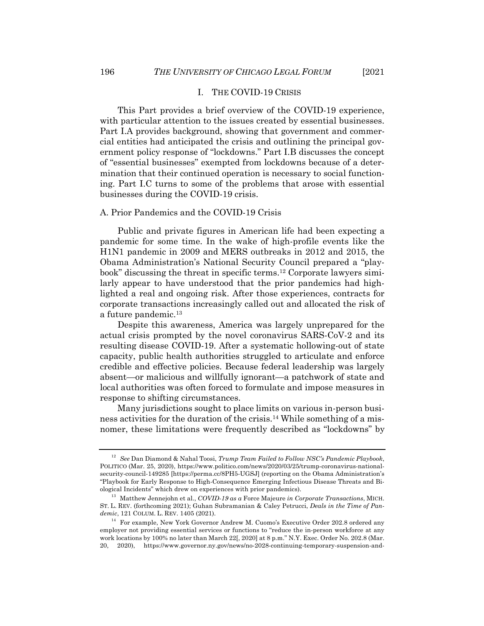# I. THE COVID-19 CRISIS

This Part provides a brief overview of the COVID-19 experience, with particular attention to the issues created by essential businesses. Part I.A provides background, showing that government and commercial entities had anticipated the crisis and outlining the principal government policy response of "lockdowns." Part I.B discusses the concept of "essential businesses" exempted from lockdowns because of a determination that their continued operation is necessary to social functioning. Part I.C turns to some of the problems that arose with essential businesses during the COVID-19 crisis.

# A. Prior Pandemics and the COVID-19 Crisis

Public and private figures in American life had been expecting a pandemic for some time. In the wake of high-profile events like the H1N1 pandemic in 2009 and MERS outbreaks in 2012 and 2015, the Obama Administration's National Security Council prepared a "playbook" discussing the threat in specific terms.12 Corporate lawyers similarly appear to have understood that the prior pandemics had highlighted a real and ongoing risk. After those experiences, contracts for corporate transactions increasingly called out and allocated the risk of a future pandemic.<sup>13</sup>

Despite this awareness, America was largely unprepared for the actual crisis prompted by the novel coronavirus SARS-CoV-2 and its resulting disease COVID-19. After a systematic hollowing-out of state capacity, public health authorities struggled to articulate and enforce credible and effective policies. Because federal leadership was largely absent—or malicious and willfully ignorant—a patchwork of state and local authorities was often forced to formulate and impose measures in response to shifting circumstances.

Many jurisdictions sought to place limits on various in-person business activities for the duration of the crisis.14 While something of a misnomer, these limitations were frequently described as "lockdowns" by

<sup>12</sup> *See* Dan Diamond & Nahal Toosi, *Trump Team Failed to Follow NSC's Pandemic Playbook*, POLITICO (Mar. 25, 2020), https://www.politico.com/news/2020/03/25/trump-coronavirus-nationalsecurity-council-149285 [https://perma.cc/8PH5-UGSJ] (reporting on the Obama Administration's "Playbook for Early Response to High-Consequence Emerging Infectious Disease Threats and Biological Incidents" which drew on experiences with prior pandemics).

<sup>13</sup> Matthew Jennejohn et al., *COVID-19 as a* Force Majeure *in Corporate Transactions*, MICH. ST. L. REV. (forthcoming 2021); Guhan Subramanian & Caley Petrucci, *Deals in the Time of Pandemic*, 121 COLUM. L. REV. 1405 (2021).

<sup>&</sup>lt;sup>14</sup> For example, New York Governor Andrew M. Cuomo's Executive Order 202.8 ordered any employer not providing essential services or functions to "reduce the in-person workforce at any work locations by 100% no later than March 22[, 2020] at 8 p.m." N.Y. Exec. Order No. 202.8 (Mar. 20, 2020), https://www.governor.ny.gov/news/no-2028-continuing-temporary-suspension-and-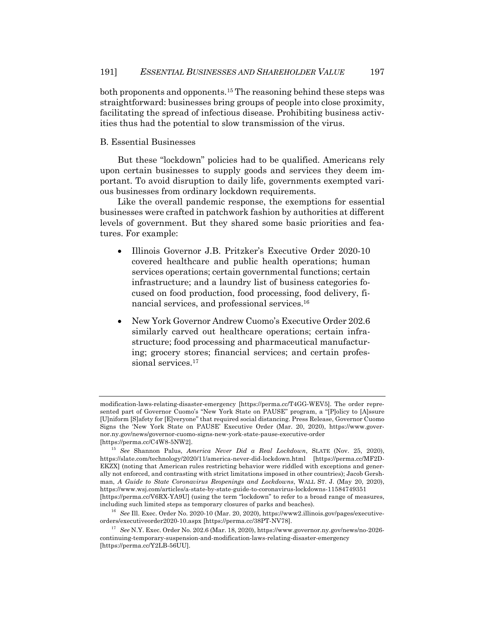both proponents and opponents.15 The reasoning behind these steps was straightforward: businesses bring groups of people into close proximity, facilitating the spread of infectious disease. Prohibiting business activities thus had the potential to slow transmission of the virus.

## B. Essential Businesses

But these "lockdown" policies had to be qualified. Americans rely upon certain businesses to supply goods and services they deem important. To avoid disruption to daily life, governments exempted various businesses from ordinary lockdown requirements.

Like the overall pandemic response, the exemptions for essential businesses were crafted in patchwork fashion by authorities at different levels of government. But they shared some basic priorities and features. For example:

- Illinois Governor J.B. Pritzker's Executive Order 2020-10 covered healthcare and public health operations; human services operations; certain governmental functions; certain infrastructure; and a laundry list of business categories focused on food production, food processing, food delivery, financial services, and professional services.16
- New York Governor Andrew Cuomo's Executive Order 202.6 similarly carved out healthcare operations; certain infrastructure; food processing and pharmaceutical manufacturing; grocery stores; financial services; and certain professional services.<sup>17</sup>

modification-laws-relating-disaster-emergency [https://perma.cc/T4GG-WEV5]. The order represented part of Governor Cuomo's "New York State on PAUSE" program, a "[P]olicy to [A]ssure [U]niform [S]afety for [E]veryone" that required social distancing. Press Release, Governor Cuomo Signs the 'New York State on PAUSE' Executive Order (Mar. 20, 2020), https://www.governor.ny.gov/news/governor-cuomo-signs-new-york-state-pause-executive-order [https://perma.cc/C4W8-5NW2].

<sup>15</sup> *See* Shannon Palus, *America Never Did a Real Lockdown*, SLATE (Nov. 25, 2020), https://slate.com/technology/2020/11/america-never-did-lockdown.html [https://perma.cc/MF2D-EKZX] (noting that American rules restricting behavior were riddled with exceptions and generally not enforced, and contrasting with strict limitations imposed in other countries); Jacob Gershman, *A Guide to State Coronavirus Reopenings and Lockdowns*, WALL ST. J. (May 20, 2020), https://www.wsj.com/articles/a-state-by-state-guide-to-coronavirus-lockdowns-11584749351 [https://perma.cc/V6RX-YA9U] (using the term "lockdown" to refer to a broad range of measures, including such limited steps as temporary closures of parks and beaches).

<sup>16</sup> *See* Ill. Exec. Order No. 2020-10 (Mar. 20, 2020), https://www2.illinois.gov/pages/executiveorders/executiveorder2020-10.aspx [https://perma.cc/38PT-NV78].

<sup>17</sup> *See* N.Y. Exec. Order No. 202.6 (Mar. 18, 2020), https://www.governor.ny.gov/news/no-2026 continuing-temporary-suspension-and-modification-laws-relating-disaster-emergency [https://perma.cc/Y2LB-56UU].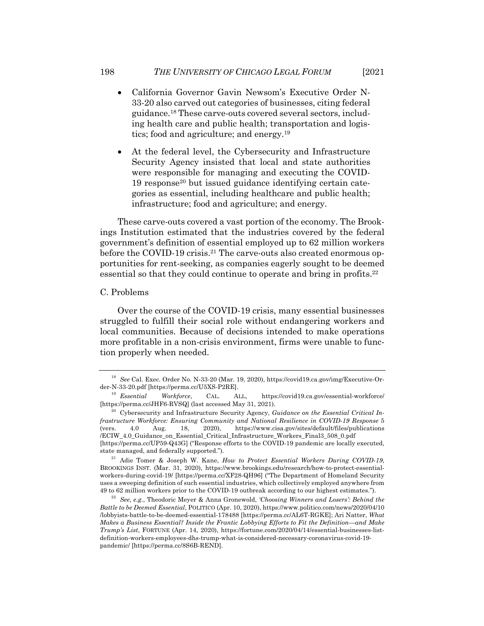- California Governor Gavin Newsom's Executive Order N-33-20 also carved out categories of businesses, citing federal guidance.18 These carve-outs covered several sectors, including health care and public health; transportation and logistics; food and agriculture; and energy.19
- At the federal level, the Cybersecurity and Infrastructure Security Agency insisted that local and state authorities were responsible for managing and executing the COVID-19 response20 but issued guidance identifying certain categories as essential, including healthcare and public health; infrastructure; food and agriculture; and energy.

These carve-outs covered a vast portion of the economy. The Brookings Institution estimated that the industries covered by the federal government's definition of essential employed up to 62 million workers before the COVID-19 crisis.21 The carve-outs also created enormous opportunities for rent-seeking, as companies eagerly sought to be deemed essential so that they could continue to operate and bring in profits.<sup>22</sup>

# C. Problems

Over the course of the COVID-19 crisis, many essential businesses struggled to fulfill their social role without endangering workers and local communities. Because of decisions intended to make operations more profitable in a non-crisis environment, firms were unable to function properly when needed.

<sup>18</sup> *See* Cal. Exec. Order No. N-33-20 (Mar. 19, 2020), https://covid19.ca.gov/img/Executive-Order-N-33-20.pdf [https://perma.cc/U5XS-P2RE].

<sup>19</sup> *Essential Workforce*, CAL. ALL, https://covid19.ca.gov/essential-workforce/ [https://perma.cc/JHF6-RVSQ] (last accessed May 31, 2021).

<sup>20</sup> Cybersecurity and Infrastructure Security Agency, *Guidance on the Essential Critical Infrastructure Workforce: Ensuring Community and National Resilience in COVID-19 Response* 5 (vers. 4.0 Aug. 18, 2020), https://www.cisa.gov/sites/default/files/publications /ECIW\_4.0\_Guidance\_on\_Essential\_Critical\_Infrastructure\_Workers\_Final3\_508\_0.pdf [https://perma.cc/UP59-Q43G] ("Response efforts to the COVID-19 pandemic are locally executed, state managed, and federally supported.").

<sup>21</sup> Adie Tomer & Joseph W. Kane, *How to Protect Essential Workers During COVID-19*, BROOKINGS INST. (Mar. 31, 2020), https://www.brookings.edu/research/how-to-protect-essentialworkers-during-covid-19/ [https://perma.cc/XF28-QH96] ("The Department of Homeland Security uses a sweeping definition of such essential industries, which collectively employed anywhere from 49 to 62 million workers prior to the COVID-19 outbreak according to our highest estimates.").

<sup>22</sup> *See, e.g.*, Theodoric Meyer & Anna Gronewold, *'Choosing Winners and Losers': Behind the Battle to be Deemed Essential*, POLITICO (Apr. 10, 2020), https://www.politico.com/news/2020/04/10 /lobbyists-battle-to-be-deemed-essential-178488 [https://perma.cc/AL6T-RGKE]; Ari Natter, *What Makes a Business Essential? Inside the Frantic Lobbying Efforts to Fit the Definition—and Make Trump's List*, FORTUNE (Apr. 14, 2020), https://fortune.com/2020/04/14/essential-businesses-listdefinition-workers-employees-dhs-trump-what-is-considered-necessary-coronavirus-covid-19 pandemic/ [https://perma.cc/8S6B-REND].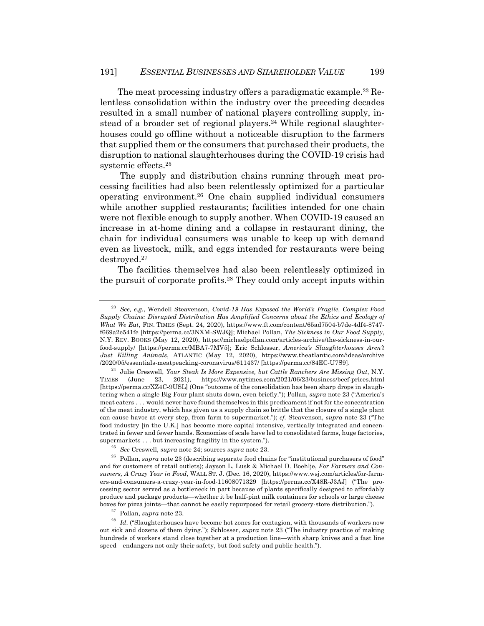The meat processing industry offers a paradigmatic example.<sup>23</sup> Relentless consolidation within the industry over the preceding decades resulted in a small number of national players controlling supply, instead of a broader set of regional players.<sup>24</sup> While regional slaughterhouses could go offline without a noticeable disruption to the farmers that supplied them or the consumers that purchased their products, the disruption to national slaughterhouses during the COVID-19 crisis had systemic effects.25

The supply and distribution chains running through meat processing facilities had also been relentlessly optimized for a particular operating environment.26 One chain supplied individual consumers while another supplied restaurants; facilities intended for one chain were not flexible enough to supply another. When COVID-19 caused an increase in at-home dining and a collapse in restaurant dining, the chain for individual consumers was unable to keep up with demand even as livestock, milk, and eggs intended for restaurants were being destroyed.27

The facilities themselves had also been relentlessly optimized in the pursuit of corporate profits.28 They could only accept inputs within

<sup>23</sup> *See, e.g.*, Wendell Steavenson, *Covid-19 Has Exposed the World's Fragile, Complex Food Supply Chains: Disrupted Distribution Has Amplified Concerns about the Ethics and Ecology of What We Eat*, FIN. TIMES (Sept. 24, 2020), https://www.ft.com/content/65ad7504-b7de-4df4-8747 f669a2e541fe [https://perma.cc/3NXM-SWJQ]; Michael Pollan, *The Sickness in Our Food Supply*, N.Y. REV. BOOKS (May 12, 2020), https://michaelpollan.com/articles-archive/the-sickness-in-ourfood-supply/ [https://perma.cc/MBA7-7MV5]; Eric Schlosser, *America's Slaughterhouses Aren't Just Killing Animals*, ATLANTIC (May 12, 2020), https://www.theatlantic.com/ideas/archive /2020/05/essentials-meatpeacking-coronavirus/611437/ [https://perma.cc/84EC-U7S9].

<sup>24</sup> Julie Creswell, *Your Steak Is More Expensive, but Cattle Ranchers Are Missing Out*, N.Y. TIMES (June 23, 2021), https://www.nytimes.com/2021/06/23/business/beef-prices.html [https://perma.cc/XZ4C-9USL] (One "outcome of the consolidation has been sharp drops in slaughtering when a single Big Four plant shuts down, even briefly."); Pollan, *supra* note 23 ("America's meat eaters . . . would never have found themselves in this predicament if not for the concentration of the meat industry, which has given us a supply chain so brittle that the closure of a single plant can cause havoc at every step, from farm to supermarket."); *cf.* Steavenson, *supra* note 23 ("The food industry [in the U.K.] has become more capital intensive, vertically integrated and concentrated in fewer and fewer hands. Economies of scale have led to consolidated farms, huge factories, supermarkets . . . but increasing fragility in the system.").

<sup>25</sup> *See* Creswell, *supra* note 24; sources *supra* note 23.

<sup>&</sup>lt;sup>26</sup> Pollan, *supra* note 23 (describing separate food chains for "institutional purchasers of food" and for customers of retail outlets); Jayson L. Lusk & Michael D. Boehlje, *For Farmers and Consumers, A Crazy Year in Food*, WALL ST. J. (Dec. 16, 2020), https://www.wsj.com/articles/for-farmers-and-consumers-a-crazy-year-in-food-11608071329 [https://perma.cc/X48R-J3AJ] ("The processing sector served as a bottleneck in part because of plants specifically designed to affordably produce and package products—whether it be half-pint milk containers for schools or large cheese boxes for pizza joints—that cannot be easily repurposed for retail grocery-store distribution.").

<sup>27</sup> Pollan, *supra* note 23.

<sup>&</sup>lt;sup>28</sup> *Id.* ("Slaughterhouses have become hot zones for contagion, with thousands of workers now out sick and dozens of them dying."); Schlosser, *supra* note 23 ("The industry practice of making hundreds of workers stand close together at a production line—with sharp knives and a fast line speed—endangers not only their safety, but food safety and public health.").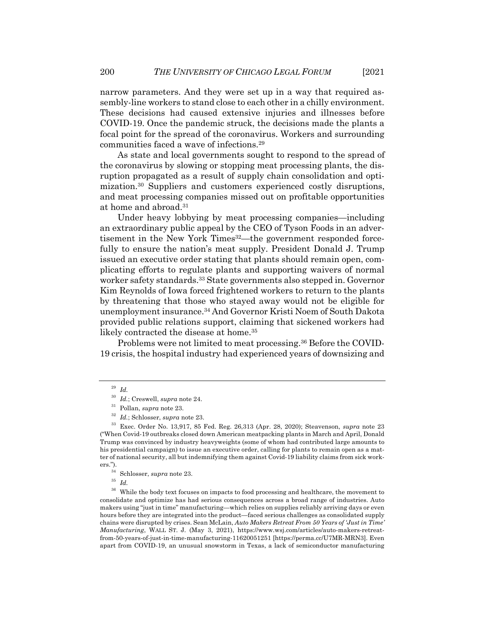narrow parameters. And they were set up in a way that required assembly-line workers to stand close to each other in a chilly environment. These decisions had caused extensive injuries and illnesses before COVID-19. Once the pandemic struck, the decisions made the plants a focal point for the spread of the coronavirus. Workers and surrounding communities faced a wave of infections.29

As state and local governments sought to respond to the spread of the coronavirus by slowing or stopping meat processing plants, the disruption propagated as a result of supply chain consolidation and optimization.30 Suppliers and customers experienced costly disruptions, and meat processing companies missed out on profitable opportunities at home and abroad.31

Under heavy lobbying by meat processing companies—including an extraordinary public appeal by the CEO of Tyson Foods in an advertisement in the New York Times<sup>32</sup>—the government responded forcefully to ensure the nation's meat supply. President Donald J. Trump issued an executive order stating that plants should remain open, complicating efforts to regulate plants and supporting waivers of normal worker safety standards.33 State governments also stepped in. Governor Kim Reynolds of Iowa forced frightened workers to return to the plants by threatening that those who stayed away would not be eligible for unemployment insurance.34 And Governor Kristi Noem of South Dakota provided public relations support, claiming that sickened workers had likely contracted the disease at home.<sup>35</sup>

Problems were not limited to meat processing.36 Before the COVID-19 crisis, the hospital industry had experienced years of downsizing and

<sup>29</sup> *Id.*

<sup>30</sup> *Id.*; Creswell, *supra* note 24.

<sup>31</sup> Pollan, *supra* note 23.

<sup>32</sup> *Id.*; Schlosser, *supra* note 23.

<sup>33</sup> Exec. Order No. 13,917, 85 Fed. Reg. 26,313 (Apr. 28, 2020); Steavenson, *supra* note 23 ("When Covid-19 outbreaks closed down American meatpacking plants in March and April, Donald Trump was convinced by industry heavyweights (some of whom had contributed large amounts to his presidential campaign) to issue an executive order, calling for plants to remain open as a matter of national security, all but indemnifying them against Covid-19 liability claims from sick workers.").<br> $\frac{34}{1}$ 

 $rac{34}{35}$  Schlosser, *supra* note 23.

<sup>35</sup> *Id.*

 $^\mathrm{36}$  While the body text focuses on impacts to food processing and healthcare, the movement to consolidate and optimize has had serious consequences across a broad range of industries. Auto makers using "just in time" manufacturing—which relies on supplies reliably arriving days or even hours before they are integrated into the product—faced serious challenges as consolidated supply chains were disrupted by crises. Sean McLain, *Auto Makers Retreat From 50 Years of 'Just in Time' Manufacturing*, WALL ST. J. (May 3, 2021), https://www.wsj.com/articles/auto-makers-retreatfrom-50-years-of-just-in-time-manufacturing-11620051251 [https://perma.cc/U7MR-MRN3]. Even apart from COVID-19, an unusual snowstorm in Texas, a lack of semiconductor manufacturing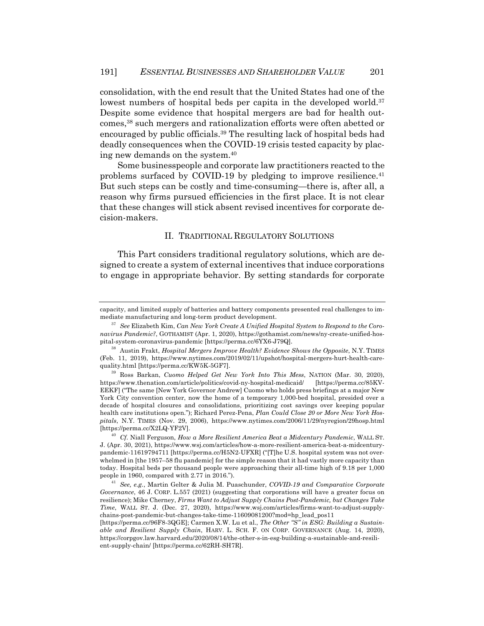consolidation, with the end result that the United States had one of the lowest numbers of hospital beds per capita in the developed world.<sup>37</sup> Despite some evidence that hospital mergers are bad for health outcomes,38 such mergers and rationalization efforts were often abetted or encouraged by public officials.39 The resulting lack of hospital beds had deadly consequences when the COVID-19 crisis tested capacity by placing new demands on the system.40

Some businesspeople and corporate law practitioners reacted to the problems surfaced by COVID-19 by pledging to improve resilience. $41$ But such steps can be costly and time-consuming—there is, after all, a reason why firms pursued efficiencies in the first place. It is not clear that these changes will stick absent revised incentives for corporate decision-makers.

#### II. TRADITIONAL REGULATORY SOLUTIONS

This Part considers traditional regulatory solutions, which are designed to create a system of external incentives that induce corporations to engage in appropriate behavior. By setting standards for corporate

capacity, and limited supply of batteries and battery components presented real challenges to immediate manufacturing and long-term product development.

<sup>37</sup> *See* Elizabeth Kim, *Can New York Create A Unified Hospital System to Respond to the Coronavirus Pandemic?*, GOTHAMIST (Apr. 1, 2020), https://gothamist.com/news/ny-create-unified-hospital-system-coronavirus-pandemic [https://perma.cc/6YX6-J79Q].

<sup>38</sup> Austin Frakt, *Hospital Mergers Improve Health? Evidence Shows the Opposite*, N.Y. TIMES (Feb. 11, 2019), https://www.nytimes.com/2019/02/11/upshot/hospital-mergers-hurt-health-carequality.html [https://perma.cc/KW5K-5GF7].

<sup>39</sup> Ross Barkan, *Cuomo Helped Get New York Into This Mess*, NATION (Mar. 30, 2020), https://www.thenation.com/article/politics/covid-ny-hospital-medicaid/ [https://perma.cc/85KV-EEKF] ("The same [New York Governor Andrew] Cuomo who holds press briefings at a major New York City convention center, now the home of a temporary 1,000-bed hospital, presided over a decade of hospital closures and consolidations, prioritizing cost savings over keeping popular health care institutions open."); Richard Perez-Pena, *Plan Could Close 20 or More New York Hospitals*, N.Y. TIMES (Nov. 29, 2006), https://www.nytimes.com/2006/11/29/nyregion/29hosp.html [https://perma.cc/X2LQ-YF2V].

<sup>40</sup> *Cf.* Niall Ferguson, *How a More Resilient America Beat a Midcentury Pandemic*, WALL ST. J. (Apr. 30, 2021), https://www.wsj.com/articles/how-a-more-resilient-america-beat-a-midcenturypandemic-11619794711 [https://perma.cc/H5N2-UFXR] ("[T]he U.S. hospital system was not overwhelmed in [the 1957–58 flu pandemic] for the simple reason that it had vastly more capacity than today. Hospital beds per thousand people were approaching their all-time high of 9.18 per 1,000 people in 1960, compared with 2.77 in 2016.").

<sup>41</sup> *See, e.g.*, Martin Gelter & Julia M. Puaschunder, *COVID-19 and Comparative Corporate Governance*, 46 J. CORP. L.557 (2021) (suggesting that corporations will have a greater focus on resilience); Mike Cherney, *Firms Want to Adjust Supply Chains Post-Pandemic, but Changes Take Time*, WALL ST. J. (Dec. 27, 2020), https://www.wsj.com/articles/firms-want-to-adjust-supplychains-post-pandemic-but-changes-take-time-11609081200?mod=hp\_lead\_pos11

<sup>[</sup>https://perma.cc/96F8-3QGE]; Carmen X.W. Lu et al., *The Other "S" in ESG: Building a Sustainable and Resilient Supply Chain*, HARV. L. SCH. F. ON CORP. GOVERNANCE (Aug. 14, 2020), https://corpgov.law.harvard.edu/2020/08/14/the-other-s-in-esg-building-a-sustainable-and-resilient-supply-chain/ [https://perma.cc/62RH-SH7R].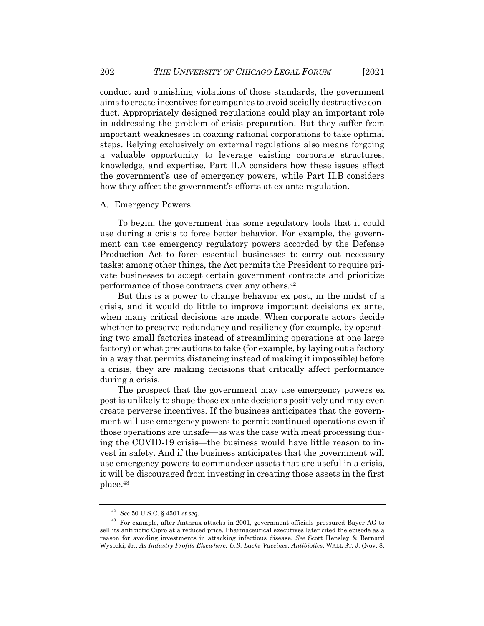conduct and punishing violations of those standards, the government aims to create incentives for companies to avoid socially destructive conduct. Appropriately designed regulations could play an important role in addressing the problem of crisis preparation. But they suffer from important weaknesses in coaxing rational corporations to take optimal steps. Relying exclusively on external regulations also means forgoing a valuable opportunity to leverage existing corporate structures, knowledge, and expertise. Part II.A considers how these issues affect the government's use of emergency powers, while Part II.B considers how they affect the government's efforts at ex ante regulation.

### A. Emergency Powers

To begin, the government has some regulatory tools that it could use during a crisis to force better behavior. For example, the government can use emergency regulatory powers accorded by the Defense Production Act to force essential businesses to carry out necessary tasks: among other things, the Act permits the President to require private businesses to accept certain government contracts and prioritize performance of those contracts over any others.42

But this is a power to change behavior ex post, in the midst of a crisis, and it would do little to improve important decisions ex ante, when many critical decisions are made. When corporate actors decide whether to preserve redundancy and resiliency (for example, by operating two small factories instead of streamlining operations at one large factory) or what precautions to take (for example, by laying out a factory in a way that permits distancing instead of making it impossible) before a crisis, they are making decisions that critically affect performance during a crisis.

The prospect that the government may use emergency powers ex post is unlikely to shape those ex ante decisions positively and may even create perverse incentives. If the business anticipates that the government will use emergency powers to permit continued operations even if those operations are unsafe—as was the case with meat processing during the COVID-19 crisis—the business would have little reason to invest in safety. And if the business anticipates that the government will use emergency powers to commandeer assets that are useful in a crisis, it will be discouraged from investing in creating those assets in the first place.43

<sup>42</sup> *See* 50 U.S.C. § 4501 *et seq*.

<sup>&</sup>lt;sup>43</sup> For example, after Anthrax attacks in 2001, government officials pressured Bayer AG to sell its antibiotic Cipro at a reduced price. Pharmaceutical executives later cited the episode as a reason for avoiding investments in attacking infectious disease. *See* Scott Hensley & Bernard Wysocki, Jr., *As Industry Profits Elsewhere, U.S. Lacks Vaccines, Antibiotics*, WALL ST. J. (Nov. 8,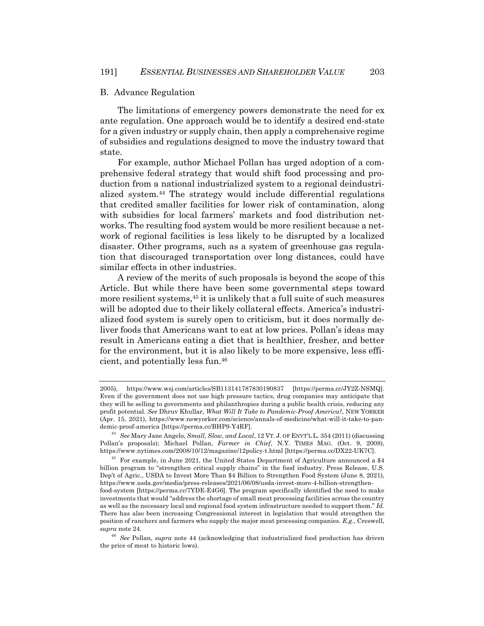#### B. Advance Regulation

The limitations of emergency powers demonstrate the need for ex ante regulation. One approach would be to identify a desired end-state for a given industry or supply chain, then apply a comprehensive regime of subsidies and regulations designed to move the industry toward that state.

For example, author Michael Pollan has urged adoption of a comprehensive federal strategy that would shift food processing and production from a national industrialized system to a regional deindustrialized system.44 The strategy would include differential regulations that credited smaller facilities for lower risk of contamination, along with subsidies for local farmers' markets and food distribution networks. The resulting food system would be more resilient because a network of regional facilities is less likely to be disrupted by a localized disaster. Other programs, such as a system of greenhouse gas regulation that discouraged transportation over long distances, could have similar effects in other industries.

A review of the merits of such proposals is beyond the scope of this Article. But while there have been some governmental steps toward more resilient systems,45 it is unlikely that a full suite of such measures will be adopted due to their likely collateral effects. America's industrialized food system is surely open to criticism, but it does normally deliver foods that Americans want to eat at low prices. Pollan's ideas may result in Americans eating a diet that is healthier, fresher, and better for the environment, but it is also likely to be more expensive, less efficient, and potentially less fun.46

<sup>2005),</sup> https://www.wsj.com/articles/SB113141787830190837 [https://perma.cc/JY2Z-NSMQ]. Even if the government does not use high pressure tactics, drug companies may anticipate that they will be selling to governments and philanthropies during a public health crisis, reducing any profit potential. *See* Dhruv Khullar, *What Will It Take to Pandemic-Proof America?*, NEW YORKER (Apr. 15, 2021), https://www.newyorker.com/science/annals-of-medicine/what-will-it-take-to-pandemic-proof-america [https://perma.cc/BHP9-Y4RF].

<sup>44</sup> *See* Mary Jane Angelo, *Small, Slow, and Local*, 12 VT. J. OF ENVT'L L. 354 (2011) (discussing Pollan's proposals); Michael Pollan, *Farmer in Chief*, N.Y. TIMES MAG. (Oct. 9, 2008), https://www.nytimes.com/2008/10/12/magazine/12policy-t.html [https://perma.cc/DX22-UK7C].

<sup>45</sup> For example, in June 2021, the United States Department of Agriculture announced a \$4 billion program to "strengthen critical supply chains" in the food industry. Press Release, U.S. Dep't of Agric., USDA to Invest More Than \$4 Billion to Strengthen Food System (June 8, 2021), https://www.usda.gov/media/press-releases/2021/06/08/usda-invest-more-4-billion-strengthenfood-system [https://perma.cc/7YDE-E4G6]. The program specifically identified the need to make investments that would "address the shortage of small meat processing facilities across the country as well as the necessary local and regional food system infrastructure needed to support them." *Id.* There has also been increasing Congressional interest in legislation that would strengthen the position of ranchers and farmers who supply the major meat processing companies. *E.g.*, Creswell, *supra* note 24.

<sup>46</sup> *See* Pollan, *supra* note 44 (acknowledging that industrialized food production has driven the price of meat to historic lows).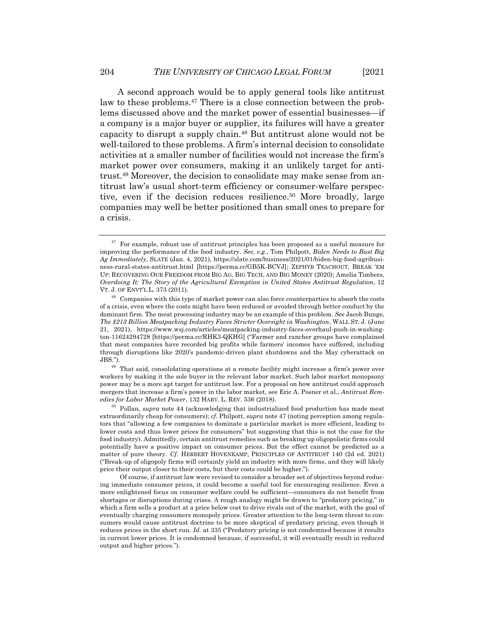A second approach would be to apply general tools like antitrust law to these problems.47 There is a close connection between the problems discussed above and the market power of essential businesses—if a company is a major buyer or supplier, its failures will have a greater capacity to disrupt a supply chain.48 But antitrust alone would not be well-tailored to these problems. A firm's internal decision to consolidate activities at a smaller number of facilities would not increase the firm's market power over consumers, making it an unlikely target for antitrust.49 Moreover, the decision to consolidate may make sense from antitrust law's usual short-term efficiency or consumer-welfare perspective, even if the decision reduces resilience.50 More broadly, large companies may well be better positioned than small ones to prepare for a crisis.

 $49$  That said, consolidating operations at a remote facility might increase a firm's power over workers by making it the sole buyer in the relevant labor market. Such labor market monopsony power may be a more apt target for antitrust law. For a proposal on how antitrust could approach mergers that increase a firm's power in the labor market, see Eric A. Posner et al., *Antitrust Remedies for Labor Market Power*, 132 HARV. L. REV. 536 (2018).

<sup>50</sup> Pollan, *supra* note 44 (acknowledging that industrialized food production has made meat extraordinarily cheap for consumers); *cf.* Philpott, *supra* note 47 (noting perception among regulators that "allowing a few companies to dominate a particular market is more efficient, leading to lower costs and thus lower prices for consumers" but suggesting that this is not the case for the food industry). Admittedly, certain antitrust remedies such as breaking up oligopolistic firms could potentially have a positive impact on consumer prices. But the effect cannot be predicted as a matter of pure theory. *Cf*. HERBERT HOVENKAMP, PRINCIPLES OF ANTITRUST 140 (2d ed. 2021) ("Break-up of oligopoly firms will certainly yield an industry with more firms, and they will likely price their output closer to their costs, but their costs could be higher.").

Of course, if antitrust law were revised to consider a broader set of objectives beyond reducing immediate consumer prices, it could become a useful tool for encouraging resilience. Even a more enlightened focus on consumer welfare could be sufficient—consumers do not benefit from shortages or disruptions during crises. A rough analogy might be drawn to "predatory pricing," in which a firm sells a product at a price below cost to drive rivals out of the market, with the goal of eventually charging consumers monopoly prices. Greater attention to the long-term threat to consumers would cause antitrust doctrine to be more skeptical of predatory pricing, even though it reduces prices in the short run. *Id.* at 335 ("Predatory pricing is not condemned because it results in current lower prices. It is condemned because, if successful, it will eventually result in reduced output and higher prices.").

 $47\,$  For example, robust use of antitrust principles has been proposed as a useful measure for improving the performance of the food industry. *See, e.g.*, Tom Philpott, *Biden Needs to Bust Big Ag Immediately*, SLATE (Jan. 4, 2021), https://slate.com/business/2021/01/biden-big-food-agribusiness-rural-states-antitrust.html [https://perma.cc/GB5K-BCVJ]; ZEPHYR TEACHOUT, BREAK 'EM UP: RECOVERING OUR FREEDOM FROM BIG AG, BIG TECH, AND BIG MONEY (2020); Amelia Timbers, *Overdoing It: The Story of the Agricultural Exemption in United States Antitrust Regulation*, 12 VT. J. OF ENVT'L L. 373 (2011).

 $48$  Companies with this type of market power can also force counterparties to absorb the costs of a crisis, even where the costs might have been reduced or avoided through better conduct by the dominant firm. The meat processing industry may be an example of this problem. *See* Jacob Bunge, *The \$213 Billion Meatpacking Industry Faces Stricter Oversight in Washington*, WALL ST. J. (June 21, 2021), https://www.wsj.com/articles/meatpacking-industry-faces-overhaul-push-in-washington-11624294728 [https://perma.cc/RHK3-QKHG] ("Farmer and rancher groups have complained that meat companies have recorded big profits while farmers' incomes have suffered, including through disruptions like 2020's pandemic-driven plant shutdowns and the May cyberattack on JBS.").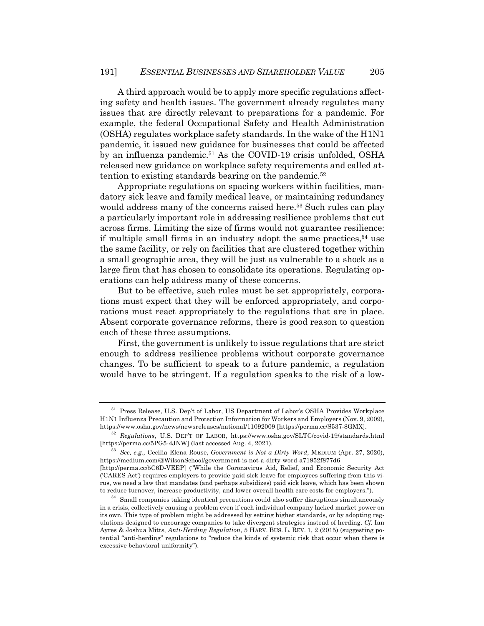A third approach would be to apply more specific regulations affecting safety and health issues. The government already regulates many issues that are directly relevant to preparations for a pandemic. For example, the federal Occupational Safety and Health Administration (OSHA) regulates workplace safety standards. In the wake of the H1N1 pandemic, it issued new guidance for businesses that could be affected by an influenza pandemic.51 As the COVID-19 crisis unfolded, OSHA released new guidance on workplace safety requirements and called attention to existing standards bearing on the pandemic.<sup>52</sup>

Appropriate regulations on spacing workers within facilities, mandatory sick leave and family medical leave, or maintaining redundancy would address many of the concerns raised here.<sup>53</sup> Such rules can play a particularly important role in addressing resilience problems that cut across firms. Limiting the size of firms would not guarantee resilience: if multiple small firms in an industry adopt the same practices,  $54$  use the same facility, or rely on facilities that are clustered together within a small geographic area, they will be just as vulnerable to a shock as a large firm that has chosen to consolidate its operations. Regulating operations can help address many of these concerns.

But to be effective, such rules must be set appropriately, corporations must expect that they will be enforced appropriately, and corporations must react appropriately to the regulations that are in place. Absent corporate governance reforms, there is good reason to question each of these three assumptions.

First, the government is unlikely to issue regulations that are strict enough to address resilience problems without corporate governance changes. To be sufficient to speak to a future pandemic, a regulation would have to be stringent. If a regulation speaks to the risk of a low-

<sup>51</sup> Press Release, U.S. Dep't of Labor, US Department of Labor's OSHA Provides Workplace H1N1 Influenza Precaution and Protection Information for Workers and Employers (Nov. 9, 2009), https://www.osha.gov/news/newsreleases/national/11092009 [https://perma.cc/S537-8GMX].

<sup>52</sup> *Regulations*, U.S. DEP'T OF LABOR, https://www.osha.gov/SLTC/covid-19/standards.html [https://perma.cc/5PG5-4JNW] (last accessed Aug. 4, 2021).

<sup>53</sup> *See, e.g.*, Cecilia Elena Rouse, *Government is Not a Dirty Word*, MEDIUM (Apr. 27, 2020), https://medium.com/@WilsonSchool/government-is-not-a-dirty-word-a71952f877d6

<sup>[</sup>http://perma.cc/5C6D-VEEP] ("While the Coronavirus Aid, Relief, and Economic Security Act ('CARES Act') requires employers to provide paid sick leave for employees suffering from this virus, we need a law that mandates (and perhaps subsidizes) paid sick leave, which has been shown to reduce turnover, increase productivity, and lower overall health care costs for employers.").

 $54\;$  Small companies taking identical precautions could also suffer disruptions simultaneously in a crisis, collectively causing a problem even if each individual company lacked market power on its own. This type of problem might be addressed by setting higher standards, or by adopting regulations designed to encourage companies to take divergent strategies instead of herding. *Cf.* Ian Ayres & Joshua Mitts, *Anti-Herding Regulation*, 5 HARV. BUS. L. REV. 1, 2 (2015) (suggesting potential "anti-herding" regulations to "reduce the kinds of systemic risk that occur when there is excessive behavioral uniformity").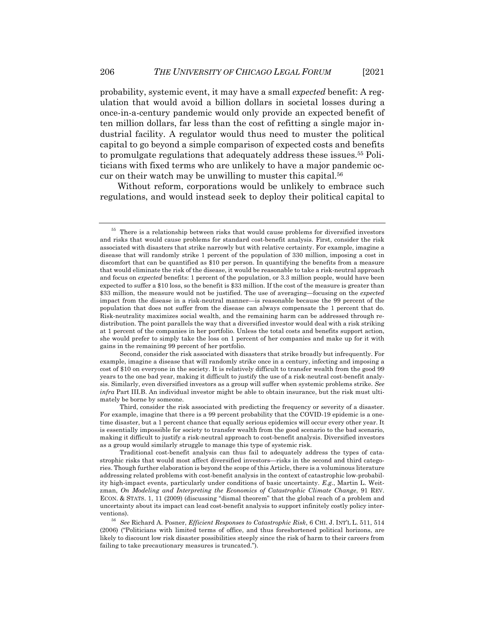probability, systemic event, it may have a small *expected* benefit: A regulation that would avoid a billion dollars in societal losses during a once-in-a-century pandemic would only provide an expected benefit of ten million dollars, far less than the cost of refitting a single major industrial facility. A regulator would thus need to muster the political capital to go beyond a simple comparison of expected costs and benefits to promulgate regulations that adequately address these issues.55 Politicians with fixed terms who are unlikely to have a major pandemic occur on their watch may be unwilling to muster this capital.56

Without reform, corporations would be unlikely to embrace such regulations, and would instead seek to deploy their political capital to

<sup>55</sup> There is a relationship between risks that would cause problems for diversified investors and risks that would cause problems for standard cost-benefit analysis. First, consider the risk associated with disasters that strike narrowly but with relative certainty. For example, imagine a disease that will randomly strike 1 percent of the population of 330 million, imposing a cost in discomfort that can be quantified as \$10 per person. In quantifying the benefits from a measure that would eliminate the risk of the disease, it would be reasonable to take a risk-neutral approach and focus on *expected* benefits: 1 percent of the population, or 3.3 million people, would have been expected to suffer a \$10 loss, so the benefit is \$33 million. If the cost of the measure is greater than \$33 million, the measure would not be justified. The use of averaging—focusing on the *expected* impact from the disease in a risk-neutral manner—is reasonable because the 99 percent of the population that does not suffer from the disease can always compensate the 1 percent that do. Risk-neutrality maximizes social wealth, and the remaining harm can be addressed through redistribution. The point parallels the way that a diversified investor would deal with a risk striking at 1 percent of the companies in her portfolio. Unless the total costs and benefits support action, she would prefer to simply take the loss on 1 percent of her companies and make up for it with gains in the remaining 99 percent of her portfolio.

Second, consider the risk associated with disasters that strike broadly but infrequently. For example, imagine a disease that will randomly strike once in a century, infecting and imposing a cost of \$10 on everyone in the society. It is relatively difficult to transfer wealth from the good 99 years to the one bad year, making it difficult to justify the use of a risk-neutral cost-benefit analysis. Similarly, even diversified investors as a group will suffer when systemic problems strike. *See infra* Part III.B. An individual investor might be able to obtain insurance, but the risk must ultimately be borne by someone.

Third, consider the risk associated with predicting the frequency or severity of a disaster. For example, imagine that there is a 99 percent probability that the COVID-19 epidemic is a onetime disaster, but a 1 percent chance that equally serious epidemics will occur every other year. It is essentially impossible for society to transfer wealth from the good scenario to the bad scenario, making it difficult to justify a risk-neutral approach to cost-benefit analysis. Diversified investors as a group would similarly struggle to manage this type of systemic risk.

Traditional cost-benefit analysis can thus fail to adequately address the types of catastrophic risks that would most affect diversified investors—risks in the second and third categories. Though further elaboration is beyond the scope of this Article, there is a voluminous literature addressing related problems with cost-benefit analysis in the context of catastrophic low-probability high-impact events, particularly under conditions of basic uncertainty. *E.g.*, Martin L. Weitzman, *On Modeling and Interpreting the Economics of Catastrophic Climate Change*, 91 REV. ECON. & STATS. 1, 11 (2009) (discussing "dismal theorem" that the global reach of a problem and uncertainty about its impact can lead cost-benefit analysis to support infinitely costly policy interventions).

<sup>56</sup> *See* Richard A. Posner, *Efficient Responses to Catastrophic Risk*, 6 CHI. J. INT'L L. 511, 514 (2006) ("Politicians with limited terms of office, and thus foreshortened political horizons, are likely to discount low risk disaster possibilities steeply since the risk of harm to their careers from failing to take precautionary measures is truncated.").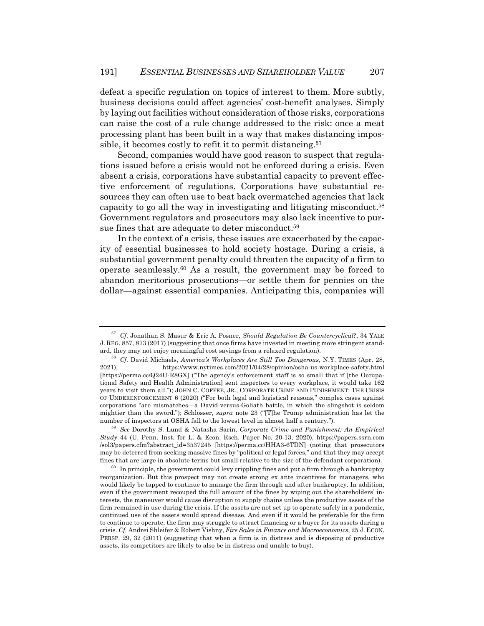defeat a specific regulation on topics of interest to them. More subtly, business decisions could affect agencies' cost-benefit analyses. Simply by laying out facilities without consideration of those risks, corporations can raise the cost of a rule change addressed to the risk: once a meat processing plant has been built in a way that makes distancing impossible, it becomes costly to refit it to permit distancing.<sup>57</sup>

Second, companies would have good reason to suspect that regulations issued before a crisis would not be enforced during a crisis. Even absent a crisis, corporations have substantial capacity to prevent effective enforcement of regulations. Corporations have substantial resources they can often use to beat back overmatched agencies that lack capacity to go all the way in investigating and litigating misconduct.58 Government regulators and prosecutors may also lack incentive to pursue fines that are adequate to deter misconduct.59

In the context of a crisis, these issues are exacerbated by the capacity of essential businesses to hold society hostage. During a crisis, a substantial government penalty could threaten the capacity of a firm to operate seamlessly. $60$  As a result, the government may be forced to abandon meritorious prosecutions—or settle them for pennies on the dollar—against essential companies. Anticipating this, companies will

<sup>57</sup> *Cf.* Jonathan S. Masur & Eric A. Posner, *Should Regulation Be Countercyclical?*, 34 YALE J. REG. 857, 873 (2017) (suggesting that once firms have invested in meeting more stringent standard, they may not enjoy meaningful cost savings from a relaxed regulation).

<sup>58</sup> *Cf.* David Michaels, *America's Workplaces Are Still Too Dangerous*, N.Y. TIMES (Apr. 28, 2021), https://www.nytimes.com/2021/04/28/opinion/osha-us-workplace-safety.html [https://perma.cc/Q24U-R8GX] ("The agency's enforcement staff is so small that if [the Occupational Safety and Health Administration] sent inspectors to every workplace, it would take 162 years to visit them all."); JOHN C. COFFEE, JR., CORPORATE CRIME AND PUNISHMENT: THE CRISIS OF UNDERENFORCEMENT 6 (2020) ("For both legal and logistical reasons," complex cases against corporations "are mismatches—a David-versus-Goliath battle, in which the slingshot is seldom mightier than the sword."); Schlosser, *supra* note 23 ("[T]he Trump administration has let the number of inspectors at OSHA fall to the lowest level in almost half a century.").

<sup>59</sup> *See* Dorothy S. Lund & Natasha Sarin, *Corporate Crime and Punishment: An Empirical Study* 44 (U. Penn. Inst. for L. & Econ. Rsch. Paper No. 20-13, 2020), https://papers.ssrn.com /sol3/papers.cfm?abstract\_id=3537245 [https://perma.cc/HHA3-6TDN] (noting that prosecutors may be deterred from seeking massive fines by "political or legal forces," and that they may accept fines that are large in absolute terms but small relative to the size of the defendant corporation).

 $60$  In principle, the government could levy crippling fines and put a firm through a bankruptcy reorganization. But this prospect may not create strong ex ante incentives for managers, who would likely be tapped to continue to manage the firm through and after bankruptcy. In addition, even if the government recouped the full amount of the fines by wiping out the shareholders' interests, the maneuver would cause disruption to supply chains unless the productive assets of the firm remained in use during the crisis. If the assets are not set up to operate safely in a pandemic, continued use of the assets would spread disease. And even if it would be preferable for the firm to continue to operate, the firm may struggle to attract financing or a buyer for its assets during a crisis. *Cf.* Andrei Shleifer & Robert Vishny, *Fire Sales in Finance and Macroeconomics*, 25 J. ECON. PERSP. 29, 32 (2011) (suggesting that when a firm is in distress and is disposing of productive assets, its competitors are likely to also be in distress and unable to buy).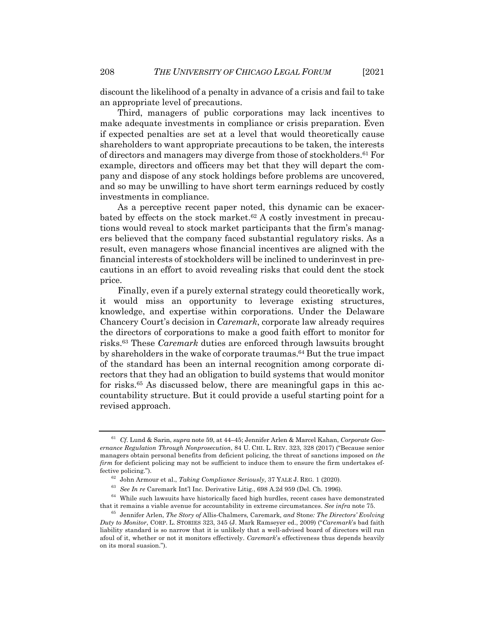discount the likelihood of a penalty in advance of a crisis and fail to take an appropriate level of precautions.

Third, managers of public corporations may lack incentives to make adequate investments in compliance or crisis preparation. Even if expected penalties are set at a level that would theoretically cause shareholders to want appropriate precautions to be taken, the interests of directors and managers may diverge from those of stockholders.61 For example, directors and officers may bet that they will depart the company and dispose of any stock holdings before problems are uncovered, and so may be unwilling to have short term earnings reduced by costly investments in compliance.

As a perceptive recent paper noted, this dynamic can be exacerbated by effects on the stock market.<sup>62</sup> A costly investment in precautions would reveal to stock market participants that the firm's managers believed that the company faced substantial regulatory risks. As a result, even managers whose financial incentives are aligned with the financial interests of stockholders will be inclined to underinvest in precautions in an effort to avoid revealing risks that could dent the stock price.

Finally, even if a purely external strategy could theoretically work, it would miss an opportunity to leverage existing structures, knowledge, and expertise within corporations. Under the Delaware Chancery Court's decision in *Caremark*, corporate law already requires the directors of corporations to make a good faith effort to monitor for risks.63 These *Caremark* duties are enforced through lawsuits brought by shareholders in the wake of corporate traumas.<sup>64</sup> But the true impact of the standard has been an internal recognition among corporate directors that they had an obligation to build systems that would monitor for risks.65 As discussed below, there are meaningful gaps in this accountability structure. But it could provide a useful starting point for a revised approach.

<sup>61</sup> *Cf.* Lund & Sarin, *supra* note 59, at 44–45; Jennifer Arlen & Marcel Kahan, *Corporate Governance Regulation Through Nonprosecution*, 84 U. CHI. L. REV. 323, 328 (2017) ("Because senior managers obtain personal benefits from deficient policing, the threat of sanctions imposed *on the firm* for deficient policing may not be sufficient to induce them to ensure the firm undertakes effective policing.").

<sup>62</sup> John Armour et al., *Taking Compliance Seriously*, 37 YALE J. REG. 1 (2020).

<sup>63</sup> *See In re* Caremark Int'l Inc. Derivative Litig., 698 A.2d 959 (Del. Ch. 1996).

 $^{64}\,$  While such lawsuits have historically faced high hurdles, recent cases have demonstrated that it remains a viable avenue for accountability in extreme circumstances. *See infra* note 75.

<sup>65</sup> Jennifer Arlen, *The Story of* Allis-Chalmers*,* Caremark*, and* Stone*: The Directors' Evolving Duty to Monitor*, CORP. L. STORIES 323, 345 (J. Mark Ramseyer ed., 2009) ("*Caremark*'s bad faith liability standard is so narrow that it is unlikely that a well-advised board of directors will run afoul of it, whether or not it monitors effectively. *Caremark*'s effectiveness thus depends heavily on its moral suasion.").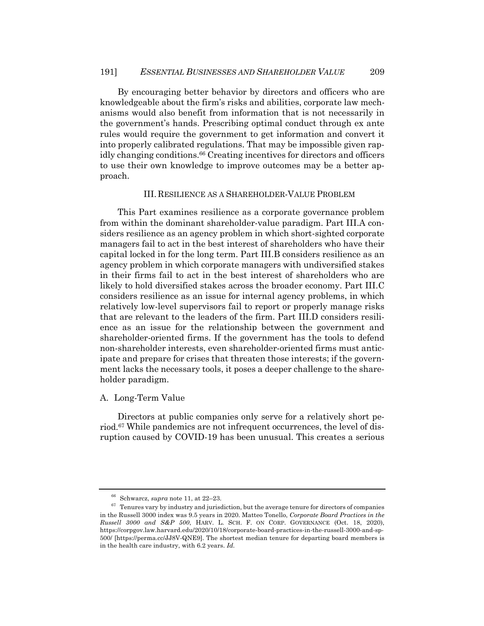By encouraging better behavior by directors and officers who are knowledgeable about the firm's risks and abilities, corporate law mechanisms would also benefit from information that is not necessarily in the government's hands. Prescribing optimal conduct through ex ante rules would require the government to get information and convert it into properly calibrated regulations. That may be impossible given rapidly changing conditions.<sup>66</sup> Creating incentives for directors and officers to use their own knowledge to improve outcomes may be a better approach.

### III.RESILIENCE AS A SHAREHOLDER-VALUE PROBLEM

This Part examines resilience as a corporate governance problem from within the dominant shareholder-value paradigm. Part III.A considers resilience as an agency problem in which short-sighted corporate managers fail to act in the best interest of shareholders who have their capital locked in for the long term. Part III.B considers resilience as an agency problem in which corporate managers with undiversified stakes in their firms fail to act in the best interest of shareholders who are likely to hold diversified stakes across the broader economy. Part III.C considers resilience as an issue for internal agency problems, in which relatively low-level supervisors fail to report or properly manage risks that are relevant to the leaders of the firm. Part III.D considers resilience as an issue for the relationship between the government and shareholder-oriented firms. If the government has the tools to defend non-shareholder interests, even shareholder-oriented firms must anticipate and prepare for crises that threaten those interests; if the government lacks the necessary tools, it poses a deeper challenge to the shareholder paradigm.

# A. Long-Term Value

Directors at public companies only serve for a relatively short period.<sup>67</sup> While pandemics are not infrequent occurrences, the level of disruption caused by COVID-19 has been unusual. This creates a serious

<sup>66</sup> Schwarcz, *supra* note 11, at 22–23.

 $67$  Tenures vary by industry and jurisdiction, but the average tenure for directors of companies in the Russell 3000 index was 9.5 years in 2020. Matteo Tonello, *Corporate Board Practices in the Russell 3000 and S&P 500*, HARV. L. SCH. F. ON CORP. GOVERNANCE (Oct. 18, 2020), https://corpgov.law.harvard.edu/2020/10/18/corporate-board-practices-in-the-russell-3000-and-sp-500/ [https://perma.cc/JJ8V-QNE9]. The shortest median tenure for departing board members is in the health care industry, with 6.2 years. *Id.*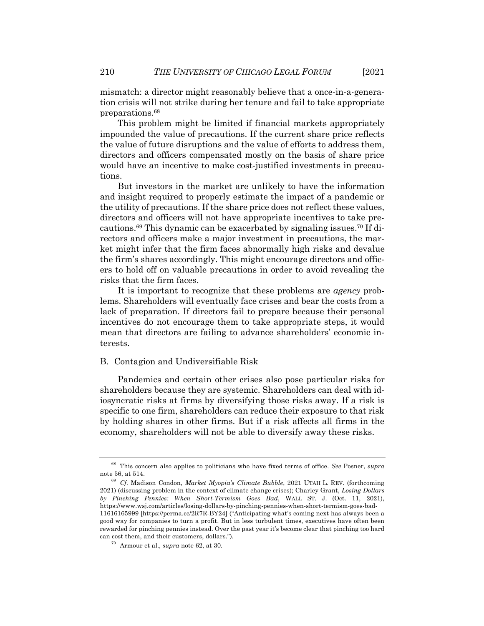mismatch: a director might reasonably believe that a once-in-a-generation crisis will not strike during her tenure and fail to take appropriate preparations.68

This problem might be limited if financial markets appropriately impounded the value of precautions. If the current share price reflects the value of future disruptions and the value of efforts to address them, directors and officers compensated mostly on the basis of share price would have an incentive to make cost-justified investments in precautions.

But investors in the market are unlikely to have the information and insight required to properly estimate the impact of a pandemic or the utility of precautions. If the share price does not reflect these values, directors and officers will not have appropriate incentives to take precautions.69 This dynamic can be exacerbated by signaling issues.70 If directors and officers make a major investment in precautions, the market might infer that the firm faces abnormally high risks and devalue the firm's shares accordingly. This might encourage directors and officers to hold off on valuable precautions in order to avoid revealing the risks that the firm faces.

It is important to recognize that these problems are *agency* problems. Shareholders will eventually face crises and bear the costs from a lack of preparation. If directors fail to prepare because their personal incentives do not encourage them to take appropriate steps, it would mean that directors are failing to advance shareholders' economic interests.

### B. Contagion and Undiversifiable Risk

Pandemics and certain other crises also pose particular risks for shareholders because they are systemic. Shareholders can deal with idiosyncratic risks at firms by diversifying those risks away. If a risk is specific to one firm, shareholders can reduce their exposure to that risk by holding shares in other firms. But if a risk affects all firms in the economy, shareholders will not be able to diversify away these risks.

<sup>68</sup> This concern also applies to politicians who have fixed terms of office. *See* Posner, *supra* note 56, at 514.

<sup>69</sup> *Cf.* Madison Condon, *Market Myopia's Climate Bubble*, 2021 UTAH L. REV. (forthcoming 2021) (discussing problem in the context of climate change crises); Charley Grant, *Losing Dollars by Pinching Pennies: When Short-Termism Goes Bad*, WALL ST. J. (Oct. 11, 2021), https://www.wsj.com/articles/losing-dollars-by-pinching-pennies-when-short-termism-goes-bad-11616165999 [https://perma.cc/2R7R-BY24] ("Anticipating what's coming next has always been a good way for companies to turn a profit. But in less turbulent times, executives have often been rewarded for pinching pennies instead. Over the past year it's become clear that pinching too hard can cost them, and their customers, dollars.").

<sup>70</sup> Armour et al., *supra* note 62, at 30.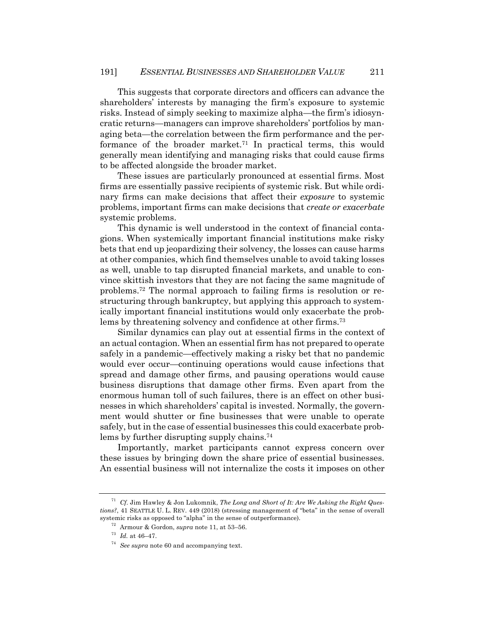This suggests that corporate directors and officers can advance the shareholders' interests by managing the firm's exposure to systemic risks. Instead of simply seeking to maximize alpha—the firm's idiosyncratic returns—managers can improve shareholders' portfolios by managing beta—the correlation between the firm performance and the performance of the broader market.71 In practical terms, this would generally mean identifying and managing risks that could cause firms to be affected alongside the broader market.

These issues are particularly pronounced at essential firms. Most firms are essentially passive recipients of systemic risk. But while ordinary firms can make decisions that affect their *exposure* to systemic problems, important firms can make decisions that *create or exacerbate* systemic problems.

This dynamic is well understood in the context of financial contagions. When systemically important financial institutions make risky bets that end up jeopardizing their solvency, the losses can cause harms at other companies, which find themselves unable to avoid taking losses as well, unable to tap disrupted financial markets, and unable to convince skittish investors that they are not facing the same magnitude of problems.72 The normal approach to failing firms is resolution or restructuring through bankruptcy, but applying this approach to systemically important financial institutions would only exacerbate the problems by threatening solvency and confidence at other firms.73

Similar dynamics can play out at essential firms in the context of an actual contagion. When an essential firm has not prepared to operate safely in a pandemic—effectively making a risky bet that no pandemic would ever occur—continuing operations would cause infections that spread and damage other firms, and pausing operations would cause business disruptions that damage other firms. Even apart from the enormous human toll of such failures, there is an effect on other businesses in which shareholders' capital is invested. Normally, the government would shutter or fine businesses that were unable to operate safely, but in the case of essential businesses this could exacerbate problems by further disrupting supply chains.<sup>74</sup>

Importantly, market participants cannot express concern over these issues by bringing down the share price of essential businesses. An essential business will not internalize the costs it imposes on other

<sup>71</sup> *Cf.* Jim Hawley & Jon Lukomnik, *The Long and Short of It: Are We Asking the Right Questions?*, 41 SEATTLE U. L. REV. 449 (2018) (stressing management of "beta" in the sense of overall systemic risks as opposed to "alpha" in the sense of outperformance).

<sup>72</sup> Armour & Gordon, *supra* note 11, at 53–56.

 $^{73}$   $\,$   $Id.\;$  at 46–47.

<sup>74</sup> *See supra* note 60 and accompanying text.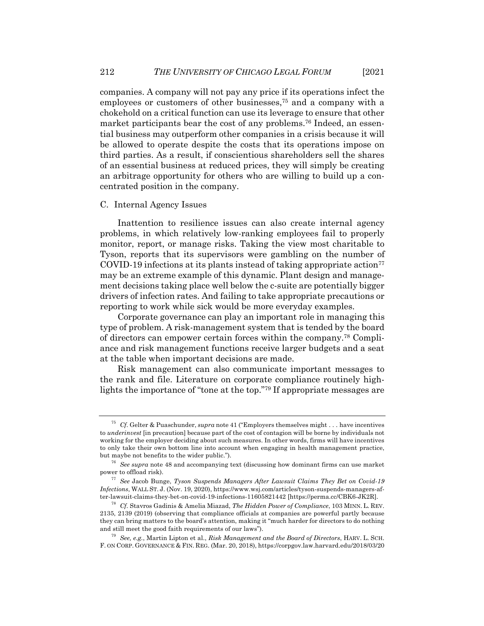companies. A company will not pay any price if its operations infect the employees or customers of other businesses,75 and a company with a chokehold on a critical function can use its leverage to ensure that other market participants bear the cost of any problems.76 Indeed, an essential business may outperform other companies in a crisis because it will be allowed to operate despite the costs that its operations impose on third parties. As a result, if conscientious shareholders sell the shares of an essential business at reduced prices, they will simply be creating an arbitrage opportunity for others who are willing to build up a concentrated position in the company.

### C. Internal Agency Issues

Inattention to resilience issues can also create internal agency problems, in which relatively low-ranking employees fail to properly monitor, report, or manage risks. Taking the view most charitable to Tyson, reports that its supervisors were gambling on the number of  $COVID-19$  infections at its plants instead of taking appropriate action<sup>77</sup> may be an extreme example of this dynamic. Plant design and management decisions taking place well below the c-suite are potentially bigger drivers of infection rates. And failing to take appropriate precautions or reporting to work while sick would be more everyday examples.

Corporate governance can play an important role in managing this type of problem. A risk-management system that is tended by the board of directors can empower certain forces within the company.78 Compliance and risk management functions receive larger budgets and a seat at the table when important decisions are made.

Risk management can also communicate important messages to the rank and file. Literature on corporate compliance routinely highlights the importance of "tone at the top."79 If appropriate messages are

<sup>75</sup> *Cf.* Gelter & Puaschunder, *supra* note 41 ("Employers themselves might . . . have incentives to *underinvest* [in precaution] because part of the cost of contagion will be borne by individuals not working for the employer deciding about such measures. In other words, firms will have incentives to only take their own bottom line into account when engaging in health management practice, but maybe not benefits to the wider public.").

<sup>76</sup> *See supra* note 48 and accompanying text (discussing how dominant firms can use market power to offload risk).

<sup>77</sup> *See* Jacob Bunge, *Tyson Suspends Managers After Lawsuit Claims They Bet on Covid-19 Infections*, WALL ST. J. (Nov. 19, 2020), https://www.wsj.com/articles/tyson-suspends-managers-after-lawsuit-claims-they-bet-on-covid-19-infections-11605821442 [https://perma.cc/CBK6-JK2R].

<sup>78</sup> *Cf.* Stavros Gadinis & Amelia Miazad, *The Hidden Power of Compliance*, 103 MINN. L. REV. 2135, 2139 (2019) (observing that compliance officials at companies are powerful partly because they can bring matters to the board's attention, making it "much harder for directors to do nothing and still meet the good faith requirements of our laws").

<sup>79</sup> *See, e.g.*, Martin Lipton et al., *Risk Management and the Board of Directors*, HARV. L. SCH. F. ON CORP. GOVERNANCE & FIN. REG. (Mar. 20, 2018), https://corpgov.law.harvard.edu/2018/03/20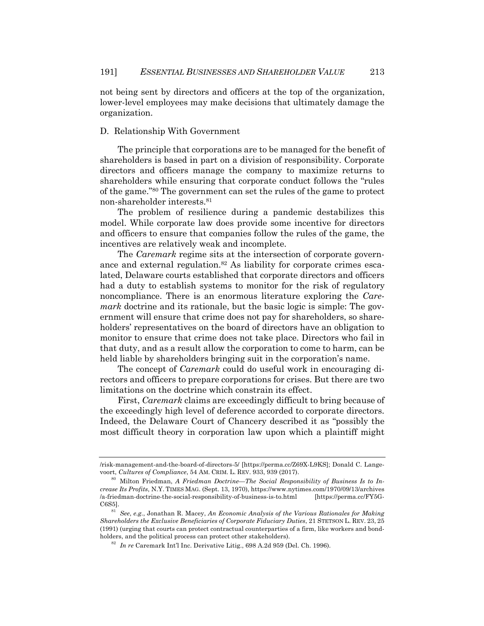not being sent by directors and officers at the top of the organization, lower-level employees may make decisions that ultimately damage the organization.

# D. Relationship With Government

The principle that corporations are to be managed for the benefit of shareholders is based in part on a division of responsibility. Corporate directors and officers manage the company to maximize returns to shareholders while ensuring that corporate conduct follows the "rules of the game."80 The government can set the rules of the game to protect non-shareholder interests.81

The problem of resilience during a pandemic destabilizes this model. While corporate law does provide some incentive for directors and officers to ensure that companies follow the rules of the game, the incentives are relatively weak and incomplete.

The *Caremark* regime sits at the intersection of corporate governance and external regulation.82 As liability for corporate crimes escalated, Delaware courts established that corporate directors and officers had a duty to establish systems to monitor for the risk of regulatory noncompliance. There is an enormous literature exploring the *Caremark* doctrine and its rationale, but the basic logic is simple: The government will ensure that crime does not pay for shareholders, so shareholders' representatives on the board of directors have an obligation to monitor to ensure that crime does not take place. Directors who fail in that duty, and as a result allow the corporation to come to harm, can be held liable by shareholders bringing suit in the corporation's name.

The concept of *Caremark* could do useful work in encouraging directors and officers to prepare corporations for crises. But there are two limitations on the doctrine which constrain its effect.

First, *Caremark* claims are exceedingly difficult to bring because of the exceedingly high level of deference accorded to corporate directors. Indeed, the Delaware Court of Chancery described it as "possibly the most difficult theory in corporation law upon which a plaintiff might

<sup>/</sup>risk-management-and-the-board-of-directors-5/ [https://perma.cc/Z69X-L9KS]; Donald C. Langevoort, *Cultures of Compliance*, 54 AM. CRIM. L. REV. 933, 939 (2017).

<sup>80</sup> Milton Friedman, *A Friedman Doctrine—The Social Responsibility of Business Is to Increase Its Profits*, N.Y. TIMES MAG. (Sept. 13, 1970), https://www.nytimes.com/1970/09/13/archives /a-friedman-doctrine-the-social-responsibility-of-business-is-to.html [https://perma.cc/FY5G-C6S5].

<sup>81</sup> *See*, *e.g.*, Jonathan R. Macey, *An Economic Analysis of the Various Rationales for Making Shareholders the Exclusive Beneficiaries of Corporate Fiduciary Duties*, 21 STETSON L. REV. 23, 25 (1991) (urging that courts can protect contractual counterparties of a firm, like workers and bondholders, and the political process can protect other stakeholders).

<sup>82</sup> *In re* Caremark Int'l Inc. Derivative Litig., 698 A.2d 959 (Del. Ch. 1996).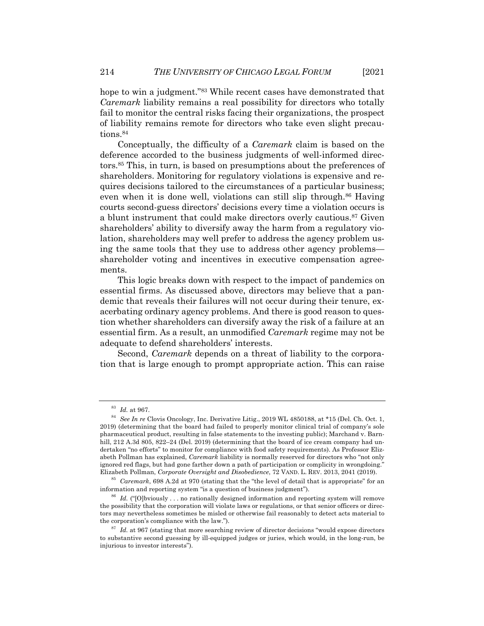hope to win a judgment."<sup>83</sup> While recent cases have demonstrated that *Caremark* liability remains a real possibility for directors who totally fail to monitor the central risks facing their organizations, the prospect of liability remains remote for directors who take even slight precautions.84

Conceptually, the difficulty of a *Caremark* claim is based on the deference accorded to the business judgments of well-informed directors.85 This, in turn, is based on presumptions about the preferences of shareholders. Monitoring for regulatory violations is expensive and requires decisions tailored to the circumstances of a particular business; even when it is done well, violations can still slip through.<sup>86</sup> Having courts second-guess directors' decisions every time a violation occurs is a blunt instrument that could make directors overly cautious.87 Given shareholders' ability to diversify away the harm from a regulatory violation, shareholders may well prefer to address the agency problem using the same tools that they use to address other agency problems shareholder voting and incentives in executive compensation agreements.

This logic breaks down with respect to the impact of pandemics on essential firms. As discussed above, directors may believe that a pandemic that reveals their failures will not occur during their tenure, exacerbating ordinary agency problems. And there is good reason to question whether shareholders can diversify away the risk of a failure at an essential firm. As a result, an unmodified *Caremark* regime may not be adequate to defend shareholders' interests.

Second, *Caremark* depends on a threat of liability to the corporation that is large enough to prompt appropriate action. This can raise

<sup>83</sup> *Id.* at 967.

<sup>84</sup> *See In re* Clovis Oncology, Inc. Derivative Litig., 2019 WL 4850188, at \*15 (Del. Ch. Oct. 1, 2019) (determining that the board had failed to properly monitor clinical trial of company's sole pharmaceutical product, resulting in false statements to the investing public); Marchand v. Barnhill, 212 A.3d 805, 822-24 (Del. 2019) (determining that the board of ice cream company had undertaken "no efforts" to monitor for compliance with food safety requirements). As Professor Elizabeth Pollman has explained, *Caremark* liability is normally reserved for directors who "not only ignored red flags, but had gone farther down a path of participation or complicity in wrongdoing." Elizabeth Pollman, *Corporate Oversight and Disobedience*, 72 VAND. L. REV. 2013, 2041 (2019).

<sup>85</sup> *Caremark*, 698 A.2d at 970 (stating that the "the level of detail that is appropriate" for an information and reporting system "is a question of business judgment").

<sup>&</sup>lt;sup>86</sup> Id. ("[O]bviously ... no rationally designed information and reporting system will remove the possibility that the corporation will violate laws or regulations, or that senior officers or directors may nevertheless sometimes be misled or otherwise fail reasonably to detect acts material to the corporation's compliance with the law.").

<sup>&</sup>lt;sup>87</sup> *Id.* at 967 (stating that more searching review of director decisions "would expose directors" to substantive second guessing by ill-equipped judges or juries, which would, in the long-run, be injurious to investor interests").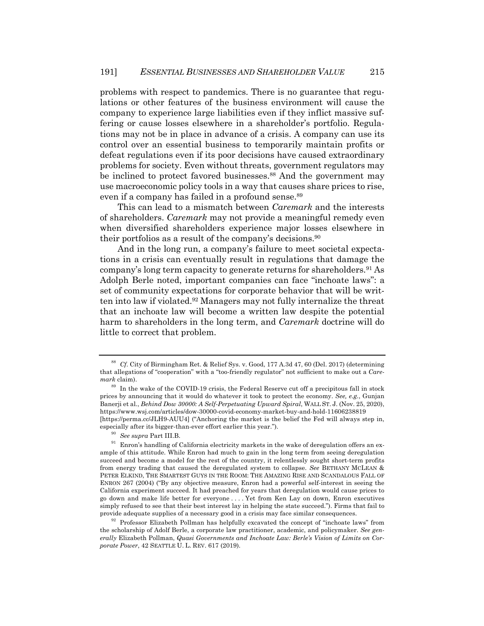problems with respect to pandemics. There is no guarantee that regulations or other features of the business environment will cause the company to experience large liabilities even if they inflict massive suffering or cause losses elsewhere in a shareholder's portfolio. Regulations may not be in place in advance of a crisis. A company can use its control over an essential business to temporarily maintain profits or defeat regulations even if its poor decisions have caused extraordinary problems for society. Even without threats, government regulators may be inclined to protect favored businesses.<sup>88</sup> And the government may use macroeconomic policy tools in a way that causes share prices to rise, even if a company has failed in a profound sense.<sup>89</sup>

This can lead to a mismatch between *Caremark* and the interests of shareholders. *Caremark* may not provide a meaningful remedy even when diversified shareholders experience major losses elsewhere in their portfolios as a result of the company's decisions.90

And in the long run, a company's failure to meet societal expectations in a crisis can eventually result in regulations that damage the company's long term capacity to generate returns for shareholders.91 As Adolph Berle noted, important companies can face "inchoate laws": a set of community expectations for corporate behavior that will be written into law if violated.92 Managers may not fully internalize the threat that an inchoate law will become a written law despite the potential harm to shareholders in the long term, and *Caremark* doctrine will do little to correct that problem.

<sup>88</sup> *Cf.* City of Birmingham Ret. & Relief Sys. v. Good, 177 A.3d 47, 60 (Del. 2017) (determining that allegations of "cooperation" with a "too-friendly regulator" not sufficient to make out a *Caremark* claim).

<sup>&</sup>lt;sup>89</sup> In the wake of the COVID-19 crisis, the Federal Reserve cut off a precipitous fall in stock prices by announcing that it would do whatever it took to protect the economy. *See, e.g.*, Gunjan Banerji et al., *Behind Dow 30000: A Self-Perpetuating Upward Spiral*, WALL ST. J. (Nov. 25, 2020), https://www.wsj.com/articles/dow-30000-covid-economy-market-buy-and-hold-11606238819 [https://perma.cc/JLH9-AUU4] ("Anchoring the market is the belief the Fed will always step in, especially after its bigger-than-ever effort earlier this year.").

<sup>90</sup> *See supra* Part III.B.

 $^{91}\,$  Enron's handling of California electricity markets in the wake of deregulation offers an example of this attitude. While Enron had much to gain in the long term from seeing deregulation succeed and become a model for the rest of the country, it relentlessly sought short-term profits from energy trading that caused the deregulated system to collapse. *See* BETHANY MCLEAN & PETER ELKIND, THE SMARTEST GUYS IN THE ROOM: THE AMAZING RISE AND SCANDALOUS FALL OF ENRON 267 (2004) ("By any objective measure, Enron had a powerful self-interest in seeing the California experiment succeed. It had preached for years that deregulation would cause prices to go down and make life better for everyone . . . . Yet from Ken Lay on down, Enron executives simply refused to see that their best interest lay in helping the state succeed."). Firms that fail to provide adequate supplies of a necessary good in a crisis may face similar consequences.

 $92$  Professor Elizabeth Pollman has helpfully excavated the concept of "inchoate laws" from the scholarship of Adolf Berle, a corporate law practitioner, academic, and policymaker. *See generally* Elizabeth Pollman, *Quasi Governments and Inchoate Law: Berle's Vision of Limits on Corporate Power*, 42 SEATTLE U. L. REV. 617 (2019).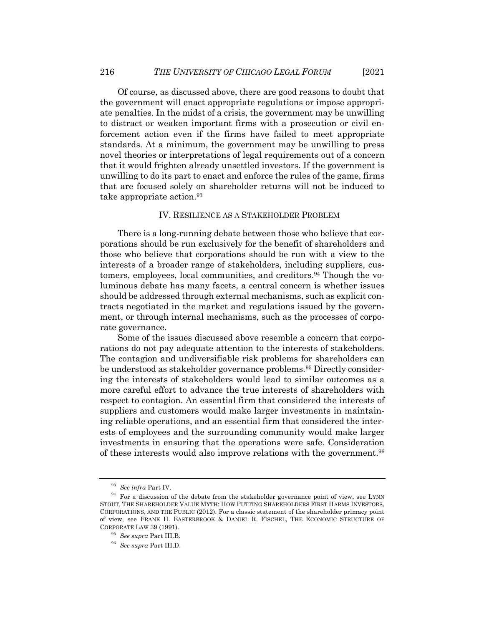Of course, as discussed above, there are good reasons to doubt that the government will enact appropriate regulations or impose appropriate penalties. In the midst of a crisis, the government may be unwilling to distract or weaken important firms with a prosecution or civil enforcement action even if the firms have failed to meet appropriate standards. At a minimum, the government may be unwilling to press novel theories or interpretations of legal requirements out of a concern that it would frighten already unsettled investors. If the government is unwilling to do its part to enact and enforce the rules of the game, firms that are focused solely on shareholder returns will not be induced to take appropriate action.93

# IV. RESILIENCE AS A STAKEHOLDER PROBLEM

There is a long-running debate between those who believe that corporations should be run exclusively for the benefit of shareholders and those who believe that corporations should be run with a view to the interests of a broader range of stakeholders, including suppliers, customers, employees, local communities, and creditors.94 Though the voluminous debate has many facets, a central concern is whether issues should be addressed through external mechanisms, such as explicit contracts negotiated in the market and regulations issued by the government, or through internal mechanisms, such as the processes of corporate governance.

Some of the issues discussed above resemble a concern that corporations do not pay adequate attention to the interests of stakeholders. The contagion and undiversifiable risk problems for shareholders can be understood as stakeholder governance problems.<sup>95</sup> Directly considering the interests of stakeholders would lead to similar outcomes as a more careful effort to advance the true interests of shareholders with respect to contagion. An essential firm that considered the interests of suppliers and customers would make larger investments in maintaining reliable operations, and an essential firm that considered the interests of employees and the surrounding community would make larger investments in ensuring that the operations were safe. Consideration of these interests would also improve relations with the government.96

<sup>93</sup> *See infra* Part IV.

 $94$  For a discussion of the debate from the stakeholder governance point of view, see LYNN STOUT, THE SHAREHOLDER VALUE MYTH: HOW PUTTING SHAREHOLDERS FIRST HARMS INVESTORS, CORPORATIONS, AND THE PUBLIC (2012). For a classic statement of the shareholder primacy point of view, see FRANK H. EASTERBROOK & DANIEL R. FISCHEL, THE ECONOMIC STRUCTURE OF CORPORATE LAW 39 (1991).

<sup>95</sup> *See supra* Part III.B.

<sup>96</sup> *See supra* Part III.D.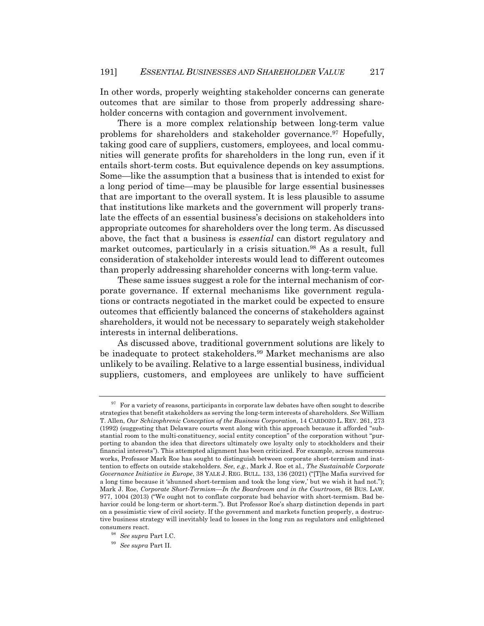In other words, properly weighting stakeholder concerns can generate outcomes that are similar to those from properly addressing shareholder concerns with contagion and government involvement.

There is a more complex relationship between long-term value problems for shareholders and stakeholder governance.97 Hopefully, taking good care of suppliers, customers, employees, and local communities will generate profits for shareholders in the long run, even if it entails short-term costs. But equivalence depends on key assumptions. Some—like the assumption that a business that is intended to exist for a long period of time—may be plausible for large essential businesses that are important to the overall system. It is less plausible to assume that institutions like markets and the government will properly translate the effects of an essential business's decisions on stakeholders into appropriate outcomes for shareholders over the long term. As discussed above, the fact that a business is *essential* can distort regulatory and market outcomes, particularly in a crisis situation.98 As a result, full consideration of stakeholder interests would lead to different outcomes than properly addressing shareholder concerns with long-term value.

These same issues suggest a role for the internal mechanism of corporate governance. If external mechanisms like government regulations or contracts negotiated in the market could be expected to ensure outcomes that efficiently balanced the concerns of stakeholders against shareholders, it would not be necessary to separately weigh stakeholder interests in internal deliberations.

As discussed above, traditional government solutions are likely to be inadequate to protect stakeholders.99 Market mechanisms are also unlikely to be availing. Relative to a large essential business, individual suppliers, customers, and employees are unlikely to have sufficient

 $97$  For a variety of reasons, participants in corporate law debates have often sought to describe strategies that benefit stakeholders as serving the long-term interests of shareholders. *See* William T. Allen, *Our Schizophrenic Conception of the Business Corporation*, 14 CARDOZO L. REV. 261, 273 (1992) (suggesting that Delaware courts went along with this approach because it afforded "substantial room to the multi-constituency, social entity conception" of the corporation without "purporting to abandon the idea that directors ultimately owe loyalty only to stockholders and their financial interests"). This attempted alignment has been criticized. For example, across numerous works, Professor Mark Roe has sought to distinguish between corporate short-termism and inattention to effects on outside stakeholders. *See, e.g.*, Mark J. Roe et al., *The Sustainable Corporate Governance Initiative in Europe*, 38 YALE J. REG. BULL. 133, 136 (2021) ("[T]he Mafia survived for a long time because it 'shunned short-termism and took the long view,' but we wish it had not."); Mark J. Roe, *Corporate Short-Termism—In the Boardroom and in the Courtroom*, 68 BUS. LAW. 977, 1004 (2013) ("We ought not to conflate corporate bad behavior with short-termism. Bad behavior could be long-term or short-term."). But Professor Roe's sharp distinction depends in part on a pessimistic view of civil society. If the government and markets function properly, a destructive business strategy will inevitably lead to losses in the long run as regulators and enlightened consumers react.

<sup>98</sup> *See supra* Part I.C.

<sup>99</sup> *See supra* Part II.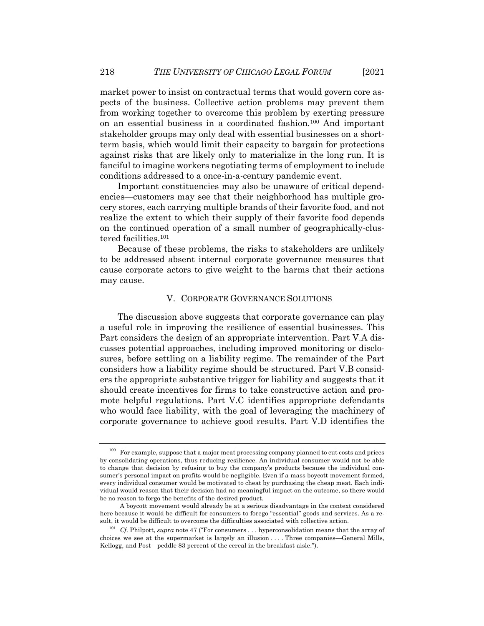market power to insist on contractual terms that would govern core aspects of the business. Collective action problems may prevent them from working together to overcome this problem by exerting pressure on an essential business in a coordinated fashion.100 And important stakeholder groups may only deal with essential businesses on a shortterm basis, which would limit their capacity to bargain for protections against risks that are likely only to materialize in the long run. It is fanciful to imagine workers negotiating terms of employment to include conditions addressed to a once-in-a-century pandemic event.

Important constituencies may also be unaware of critical dependencies—customers may see that their neighborhood has multiple grocery stores, each carrying multiple brands of their favorite food, and not realize the extent to which their supply of their favorite food depends on the continued operation of a small number of geographically-clustered facilities.101

Because of these problems, the risks to stakeholders are unlikely to be addressed absent internal corporate governance measures that cause corporate actors to give weight to the harms that their actions may cause.

### V. CORPORATE GOVERNANCE SOLUTIONS

The discussion above suggests that corporate governance can play a useful role in improving the resilience of essential businesses. This Part considers the design of an appropriate intervention. Part V.A discusses potential approaches, including improved monitoring or disclosures, before settling on a liability regime. The remainder of the Part considers how a liability regime should be structured. Part V.B considers the appropriate substantive trigger for liability and suggests that it should create incentives for firms to take constructive action and promote helpful regulations. Part V.C identifies appropriate defendants who would face liability, with the goal of leveraging the machinery of corporate governance to achieve good results. Part V.D identifies the

<sup>&</sup>lt;sup>100</sup> For example, suppose that a major meat processing company planned to cut costs and prices by consolidating operations, thus reducing resilience. An individual consumer would not be able to change that decision by refusing to buy the company's products because the individual consumer's personal impact on profits would be negligible. Even if a mass boycott movement formed, every individual consumer would be motivated to cheat by purchasing the cheap meat. Each individual would reason that their decision had no meaningful impact on the outcome, so there would be no reason to forgo the benefits of the desired product.

A boycott movement would already be at a serious disadvantage in the context considered here because it would be difficult for consumers to forego "essential" goods and services. As a result, it would be difficult to overcome the difficulties associated with collective action.

<sup>&</sup>lt;sup>101</sup> *Cf.* Philpott, *supra* note 47 ("For consumers . . . hyperconsolidation means that the array of choices we see at the supermarket is largely an illusion . . . . Three companies—General Mills, Kellogg, and Post—peddle 83 percent of the cereal in the breakfast aisle.").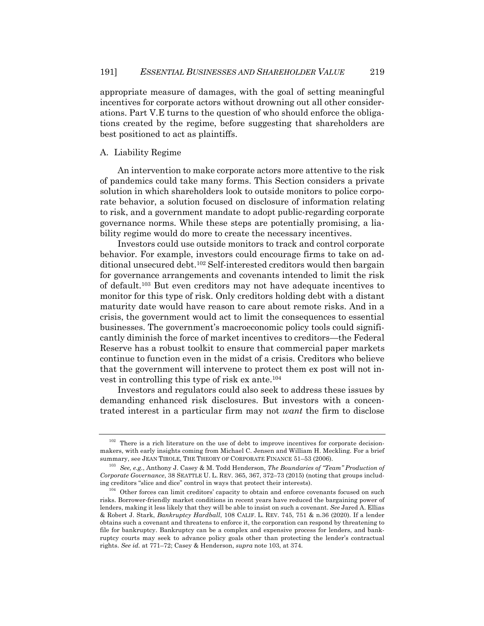appropriate measure of damages, with the goal of setting meaningful incentives for corporate actors without drowning out all other considerations. Part V.E turns to the question of who should enforce the obligations created by the regime, before suggesting that shareholders are best positioned to act as plaintiffs.

# A. Liability Regime

An intervention to make corporate actors more attentive to the risk of pandemics could take many forms. This Section considers a private solution in which shareholders look to outside monitors to police corporate behavior, a solution focused on disclosure of information relating to risk, and a government mandate to adopt public-regarding corporate governance norms. While these steps are potentially promising, a liability regime would do more to create the necessary incentives.

Investors could use outside monitors to track and control corporate behavior. For example, investors could encourage firms to take on additional unsecured debt.102 Self-interested creditors would then bargain for governance arrangements and covenants intended to limit the risk of default.103 But even creditors may not have adequate incentives to monitor for this type of risk. Only creditors holding debt with a distant maturity date would have reason to care about remote risks. And in a crisis, the government would act to limit the consequences to essential businesses. The government's macroeconomic policy tools could significantly diminish the force of market incentives to creditors—the Federal Reserve has a robust toolkit to ensure that commercial paper markets continue to function even in the midst of a crisis. Creditors who believe that the government will intervene to protect them ex post will not invest in controlling this type of risk ex ante.104

Investors and regulators could also seek to address these issues by demanding enhanced risk disclosures. But investors with a concentrated interest in a particular firm may not *want* the firm to disclose

 $102$  There is a rich literature on the use of debt to improve incentives for corporate decisionmakers, with early insights coming from Michael C. Jensen and William H. Meckling. For a brief summary, see JEAN TIROLE, THE THEORY OF CORPORATE FINANCE 51–53 (2006).

<sup>103</sup> *See, e.g.*, Anthony J. Casey & M. Todd Henderson, *The Boundaries of "Team" Production of Corporate Governance*, 38 SEATTLE U. L. REV. 365, 367, 372–73 (2015) (noting that groups including creditors "slice and dice" control in ways that protect their interests).

 $104$  Other forces can limit creditors' capacity to obtain and enforce covenants focused on such risks. Borrower-friendly market conditions in recent years have reduced the bargaining power of lenders, making it less likely that they will be able to insist on such a covenant. *See* Jared A. Ellias & Robert J. Stark, *Bankruptcy Hardball*, 108 CALIF. L. REV. 745, 751 & n.36 (2020). If a lender obtains such a covenant and threatens to enforce it, the corporation can respond by threatening to file for bankruptcy. Bankruptcy can be a complex and expensive process for lenders, and bankruptcy courts may seek to advance policy goals other than protecting the lender's contractual rights. *See id.* at 771–72; Casey & Henderson, *supra* note 103, at 374.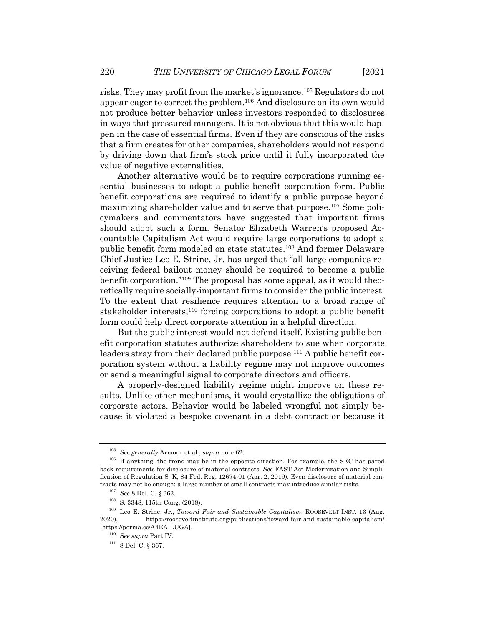risks. They may profit from the market's ignorance.105 Regulators do not appear eager to correct the problem.106 And disclosure on its own would not produce better behavior unless investors responded to disclosures in ways that pressured managers. It is not obvious that this would happen in the case of essential firms. Even if they are conscious of the risks that a firm creates for other companies, shareholders would not respond by driving down that firm's stock price until it fully incorporated the value of negative externalities.

Another alternative would be to require corporations running essential businesses to adopt a public benefit corporation form. Public benefit corporations are required to identify a public purpose beyond maximizing shareholder value and to serve that purpose.107 Some policymakers and commentators have suggested that important firms should adopt such a form. Senator Elizabeth Warren's proposed Accountable Capitalism Act would require large corporations to adopt a public benefit form modeled on state statutes.108 And former Delaware Chief Justice Leo E. Strine, Jr. has urged that "all large companies receiving federal bailout money should be required to become a public benefit corporation."109 The proposal has some appeal, as it would theoretically require socially-important firms to consider the public interest. To the extent that resilience requires attention to a broad range of stakeholder interests,<sup>110</sup> forcing corporations to adopt a public benefit form could help direct corporate attention in a helpful direction.

But the public interest would not defend itself. Existing public benefit corporation statutes authorize shareholders to sue when corporate leaders stray from their declared public purpose.<sup>111</sup> A public benefit corporation system without a liability regime may not improve outcomes or send a meaningful signal to corporate directors and officers.

A properly-designed liability regime might improve on these results. Unlike other mechanisms, it would crystallize the obligations of corporate actors. Behavior would be labeled wrongful not simply because it violated a bespoke covenant in a debt contract or because it

<sup>105</sup> *See generally* Armour et al., *supra* note 62.

<sup>&</sup>lt;sup>106</sup> If anything, the trend may be in the opposite direction. For example, the SEC has pared back requirements for disclosure of material contracts. *See* FAST Act Modernization and Simplification of Regulation S–K, 84 Fed. Reg. 12674-01 (Apr. 2, 2019). Even disclosure of material contracts may not be enough; a large number of small contracts may introduce similar risks.

<sup>107</sup> *See* 8 Del. C. § 362.

<sup>108</sup> S. 3348, 115th Cong. (2018).

<sup>109</sup> Leo E. Strine, Jr., *Toward Fair and Sustainable Capitalism*, ROOSEVELT INST. 13 (Aug. 2020), https://rooseveltinstitute.org/publications/toward-fair-and-sustainable-capitalism/ [https://perma.cc/A4EA-LUGA].

<sup>110</sup> *See supra* Part IV.

 $^{111}$ 8 Del. C.  $\S$  367.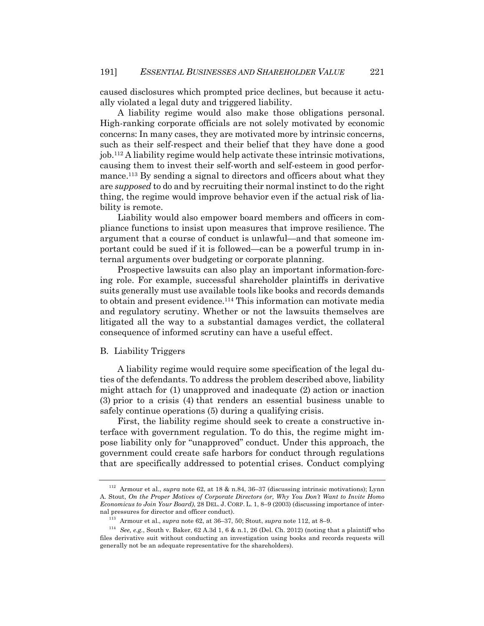caused disclosures which prompted price declines, but because it actually violated a legal duty and triggered liability.

A liability regime would also make those obligations personal. High-ranking corporate officials are not solely motivated by economic concerns: In many cases, they are motivated more by intrinsic concerns, such as their self-respect and their belief that they have done a good job.112 A liability regime would help activate these intrinsic motivations, causing them to invest their self-worth and self-esteem in good performance.113 By sending a signal to directors and officers about what they are *supposed* to do and by recruiting their normal instinct to do the right thing, the regime would improve behavior even if the actual risk of liability is remote.

Liability would also empower board members and officers in compliance functions to insist upon measures that improve resilience. The argument that a course of conduct is unlawful—and that someone important could be sued if it is followed—can be a powerful trump in internal arguments over budgeting or corporate planning.

Prospective lawsuits can also play an important information-forcing role. For example, successful shareholder plaintiffs in derivative suits generally must use available tools like books and records demands to obtain and present evidence.114 This information can motivate media and regulatory scrutiny. Whether or not the lawsuits themselves are litigated all the way to a substantial damages verdict, the collateral consequence of informed scrutiny can have a useful effect.

### B. Liability Triggers

A liability regime would require some specification of the legal duties of the defendants. To address the problem described above, liability might attach for (1) unapproved and inadequate (2) action or inaction (3) prior to a crisis (4) that renders an essential business unable to safely continue operations (5) during a qualifying crisis.

First, the liability regime should seek to create a constructive interface with government regulation. To do this, the regime might impose liability only for "unapproved" conduct. Under this approach, the government could create safe harbors for conduct through regulations that are specifically addressed to potential crises. Conduct complying

<sup>112</sup> Armour et al., *supra* note 62, at 18 & n.84, 36–37 (discussing intrinsic motivations); Lynn A. Stout, *On the Proper Motives of Corporate Directors (or, Why You Don't Want to Invite Homo Economicus to Join Your Board)*, 28 DEL. J. CORP. L. 1, 8–9 (2003) (discussing importance of internal pressures for director and officer conduct).

<sup>113</sup> Armour et al., *supra* note 62, at 36–37, 50; Stout, *supra* note 112, at 8–9.

<sup>114</sup> *See, e.g.*, South v. Baker, 62 A.3d 1, 6 & n.1, 26 (Del. Ch. 2012) (noting that a plaintiff who files derivative suit without conducting an investigation using books and records requests will generally not be an adequate representative for the shareholders).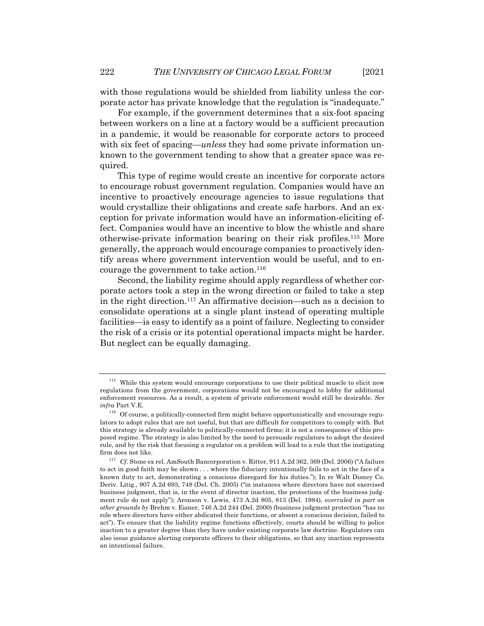with those regulations would be shielded from liability unless the corporate actor has private knowledge that the regulation is "inadequate."

For example, if the government determines that a six-foot spacing between workers on a line at a factory would be a sufficient precaution in a pandemic, it would be reasonable for corporate actors to proceed with six feet of spacing—*unless* they had some private information unknown to the government tending to show that a greater space was required.

This type of regime would create an incentive for corporate actors to encourage robust government regulation. Companies would have an incentive to proactively encourage agencies to issue regulations that would crystallize their obligations and create safe harbors. And an exception for private information would have an information-eliciting effect. Companies would have an incentive to blow the whistle and share otherwise-private information bearing on their risk profiles.115 More generally, the approach would encourage companies to proactively identify areas where government intervention would be useful, and to encourage the government to take action. 116

Second, the liability regime should apply regardless of whether corporate actors took a step in the wrong direction or failed to take a step in the right direction.117 An affirmative decision—such as a decision to consolidate operations at a single plant instead of operating multiple facilities—is easy to identify as a point of failure. Neglecting to consider the risk of a crisis or its potential operational impacts might be harder. But neglect can be equally damaging.

<sup>&</sup>lt;sup>115</sup> While this system would encourage corporations to use their political muscle to elicit new regulations from the government, corporations would not be encouraged to lobby for additional enforcement resources. As a result, a system of private enforcement would still be desirable. *See infra* Part V.E.

 $116$  Of course, a politically-connected firm might behave opportunistically and encourage regulators to adopt rules that are not useful, but that are difficult for competitors to comply with. But this strategy is already available to politically-connected firms; it is not a consequence of this proposed regime. The strategy is also limited by the need to persuade regulators to adopt the desired rule, and by the risk that focusing a regulator on a problem will lead to a rule that the instigating firm does not like.

<sup>117</sup> *Cf.* Stone ex rel. AmSouth Bancorporation v. Ritter, 911 A.2d 362, 369 (Del. 2006) ("A failure to act in good faith may be shown . . . where the fiduciary intentionally fails to act in the face of a known duty to act, demonstrating a conscious disregard for his duties."); In re Walt Disney Co. Deriv. Litig., 907 A.2d 693, 748 (Del. Ch. 2005) ("in instances where directors have not exercised business judgment, that is, in the event of director inaction, the protections of the business judgment rule do not apply"); Aronson v. Lewis, 473 A.2d 805, 813 (Del. 1984), *overruled in part on other grounds by* Brehm v. Eisner, 746 A.2d 244 (Del. 2000) (business judgment protection "has no role where directors have either abdicated their functions, or absent a conscious decision, failed to act"). To ensure that the liability regime functions effectively, courts should be willing to police inaction to a greater degree than they have under existing corporate law doctrine. Regulators can also issue guidance alerting corporate officers to their obligations, so that any inaction represents an intentional failure.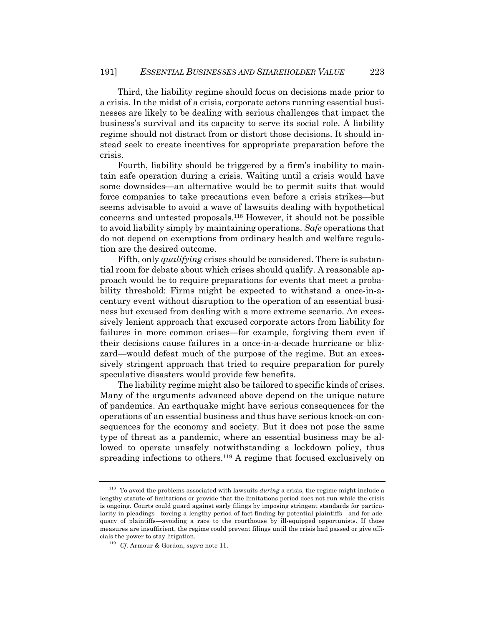Third, the liability regime should focus on decisions made prior to a crisis. In the midst of a crisis, corporate actors running essential businesses are likely to be dealing with serious challenges that impact the business's survival and its capacity to serve its social role. A liability regime should not distract from or distort those decisions. It should instead seek to create incentives for appropriate preparation before the crisis.

Fourth, liability should be triggered by a firm's inability to maintain safe operation during a crisis. Waiting until a crisis would have some downsides—an alternative would be to permit suits that would force companies to take precautions even before a crisis strikes—but seems advisable to avoid a wave of lawsuits dealing with hypothetical concerns and untested proposals.118 However, it should not be possible to avoid liability simply by maintaining operations. *Safe* operations that do not depend on exemptions from ordinary health and welfare regulation are the desired outcome.

Fifth, only *qualifying* crises should be considered. There is substantial room for debate about which crises should qualify. A reasonable approach would be to require preparations for events that meet a probability threshold: Firms might be expected to withstand a once-in-acentury event without disruption to the operation of an essential business but excused from dealing with a more extreme scenario. An excessively lenient approach that excused corporate actors from liability for failures in more common crises—for example, forgiving them even if their decisions cause failures in a once-in-a-decade hurricane or blizzard—would defeat much of the purpose of the regime. But an excessively stringent approach that tried to require preparation for purely speculative disasters would provide few benefits.

The liability regime might also be tailored to specific kinds of crises. Many of the arguments advanced above depend on the unique nature of pandemics. An earthquake might have serious consequences for the operations of an essential business and thus have serious knock-on consequences for the economy and society. But it does not pose the same type of threat as a pandemic, where an essential business may be allowed to operate unsafely notwithstanding a lockdown policy, thus spreading infections to others.119 A regime that focused exclusively on

<sup>118</sup> To avoid the problems associated with lawsuits *during* a crisis, the regime might include a lengthy statute of limitations or provide that the limitations period does not run while the crisis is ongoing. Courts could guard against early filings by imposing stringent standards for particularity in pleadings—forcing a lengthy period of fact-finding by potential plaintiffs—and for adequacy of plaintiffs—avoiding a race to the courthouse by ill-equipped opportunists. If those measures are insufficient, the regime could prevent filings until the crisis had passed or give officials the power to stay litigation.

<sup>119</sup> *Cf.* Armour & Gordon, *supra* note 11.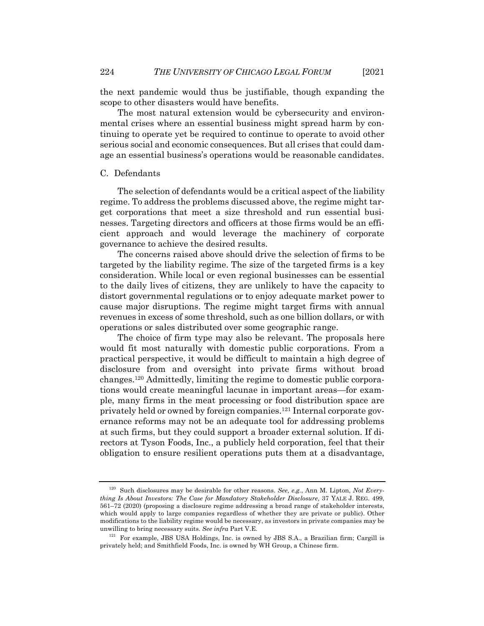the next pandemic would thus be justifiable, though expanding the scope to other disasters would have benefits.

The most natural extension would be cybersecurity and environmental crises where an essential business might spread harm by continuing to operate yet be required to continue to operate to avoid other serious social and economic consequences. But all crises that could damage an essential business's operations would be reasonable candidates.

# C. Defendants

The selection of defendants would be a critical aspect of the liability regime. To address the problems discussed above, the regime might target corporations that meet a size threshold and run essential businesses. Targeting directors and officers at those firms would be an efficient approach and would leverage the machinery of corporate governance to achieve the desired results.

The concerns raised above should drive the selection of firms to be targeted by the liability regime. The size of the targeted firms is a key consideration. While local or even regional businesses can be essential to the daily lives of citizens, they are unlikely to have the capacity to distort governmental regulations or to enjoy adequate market power to cause major disruptions. The regime might target firms with annual revenues in excess of some threshold, such as one billion dollars, or with operations or sales distributed over some geographic range.

The choice of firm type may also be relevant. The proposals here would fit most naturally with domestic public corporations. From a practical perspective, it would be difficult to maintain a high degree of disclosure from and oversight into private firms without broad changes.120 Admittedly, limiting the regime to domestic public corporations would create meaningful lacunae in important areas—for example, many firms in the meat processing or food distribution space are privately held or owned by foreign companies.121 Internal corporate governance reforms may not be an adequate tool for addressing problems at such firms, but they could support a broader external solution. If directors at Tyson Foods, Inc., a publicly held corporation, feel that their obligation to ensure resilient operations puts them at a disadvantage,

<sup>120</sup> Such disclosures may be desirable for other reasons. *See, e.g.*, Ann M. Lipton, *Not Everything Is About Investors: The Case for Mandatory Stakeholder Disclosure*, 37 YALE J. REG. 499, 561–72 (2020) (proposing a disclosure regime addressing a broad range of stakeholder interests, which would apply to large companies regardless of whether they are private or public). Other modifications to the liability regime would be necessary, as investors in private companies may be unwilling to bring necessary suits. *See infra* Part V.E.

<sup>&</sup>lt;sup>121</sup> For example, JBS USA Holdings, Inc. is owned by JBS S.A., a Brazilian firm; Cargill is privately held; and Smithfield Foods, Inc. is owned by WH Group, a Chinese firm.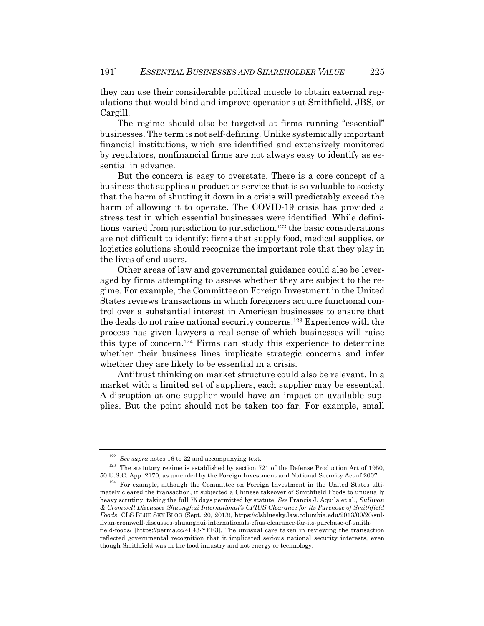they can use their considerable political muscle to obtain external regulations that would bind and improve operations at Smithfield, JBS, or Cargill.

The regime should also be targeted at firms running "essential" businesses. The term is not self-defining. Unlike systemically important financial institutions, which are identified and extensively monitored by regulators, nonfinancial firms are not always easy to identify as essential in advance.

But the concern is easy to overstate. There is a core concept of a business that supplies a product or service that is so valuable to society that the harm of shutting it down in a crisis will predictably exceed the harm of allowing it to operate. The COVID-19 crisis has provided a stress test in which essential businesses were identified. While definitions varied from jurisdiction to jurisdiction,<sup>122</sup> the basic considerations are not difficult to identify: firms that supply food, medical supplies, or logistics solutions should recognize the important role that they play in the lives of end users.

Other areas of law and governmental guidance could also be leveraged by firms attempting to assess whether they are subject to the regime. For example, the Committee on Foreign Investment in the United States reviews transactions in which foreigners acquire functional control over a substantial interest in American businesses to ensure that the deals do not raise national security concerns.123 Experience with the process has given lawyers a real sense of which businesses will raise this type of concern.124 Firms can study this experience to determine whether their business lines implicate strategic concerns and infer whether they are likely to be essential in a crisis.

Antitrust thinking on market structure could also be relevant. In a market with a limited set of suppliers, each supplier may be essential. A disruption at one supplier would have an impact on available supplies. But the point should not be taken too far. For example, small

<sup>122</sup> *See supra* notes 16 to 22 and accompanying text.

 $123$  The statutory regime is established by section 721 of the Defense Production Act of 1950, 50 U.S.C. App. 2170, as amended by the Foreign Investment and National Security Act of 2007.

 $124$  For example, although the Committee on Foreign Investment in the United States ultimately cleared the transaction, it subjected a Chinese takeover of Smithfield Foods to unusually heavy scrutiny, taking the full 75 days permitted by statute. *See* Francis J. Aquila et al., *Sullivan & Cromwell Discusses Shuanghui International's CFIUS Clearance for its Purchase of Smithfield Foods*, CLS BLUE SKY BLOG (Sept. 20, 2013), https://clsbluesky.law.columbia.edu/2013/09/20/sullivan-cromwell-discusses-shuanghui-internationals-cfius-clearance-for-its-purchase-of-smithfield-foods/ [https://perma.cc/4L43-YFE3]. The unusual care taken in reviewing the transaction reflected governmental recognition that it implicated serious national security interests, even though Smithfield was in the food industry and not energy or technology.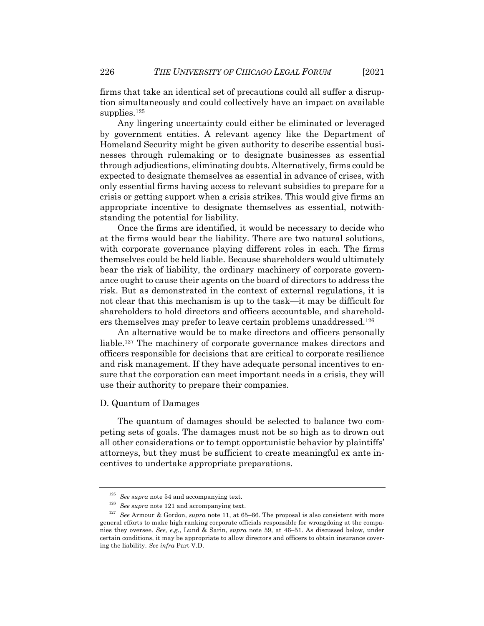firms that take an identical set of precautions could all suffer a disruption simultaneously and could collectively have an impact on available supplies.<sup>125</sup>

Any lingering uncertainty could either be eliminated or leveraged by government entities. A relevant agency like the Department of Homeland Security might be given authority to describe essential businesses through rulemaking or to designate businesses as essential through adjudications, eliminating doubts. Alternatively, firms could be expected to designate themselves as essential in advance of crises, with only essential firms having access to relevant subsidies to prepare for a crisis or getting support when a crisis strikes. This would give firms an appropriate incentive to designate themselves as essential, notwithstanding the potential for liability.

Once the firms are identified, it would be necessary to decide who at the firms would bear the liability. There are two natural solutions, with corporate governance playing different roles in each. The firms themselves could be held liable. Because shareholders would ultimately bear the risk of liability, the ordinary machinery of corporate governance ought to cause their agents on the board of directors to address the risk. But as demonstrated in the context of external regulations, it is not clear that this mechanism is up to the task—it may be difficult for shareholders to hold directors and officers accountable, and shareholders themselves may prefer to leave certain problems unaddressed.126

An alternative would be to make directors and officers personally liable.127 The machinery of corporate governance makes directors and officers responsible for decisions that are critical to corporate resilience and risk management. If they have adequate personal incentives to ensure that the corporation can meet important needs in a crisis, they will use their authority to prepare their companies.

# D. Quantum of Damages

The quantum of damages should be selected to balance two competing sets of goals. The damages must not be so high as to drown out all other considerations or to tempt opportunistic behavior by plaintiffs' attorneys, but they must be sufficient to create meaningful ex ante incentives to undertake appropriate preparations.

<sup>125</sup> *See supra* note 54 and accompanying text.

<sup>126</sup> *See supra* note 121 and accompanying text.

<sup>127</sup> *See* Armour & Gordon, *supra* note 11, at 65–66. The proposal is also consistent with more general efforts to make high ranking corporate officials responsible for wrongdoing at the companies they oversee. *See, e.g.*, Lund & Sarin, *supra* note 59, at 46–51. As discussed below, under certain conditions, it may be appropriate to allow directors and officers to obtain insurance covering the liability. *See infra* Part V.D.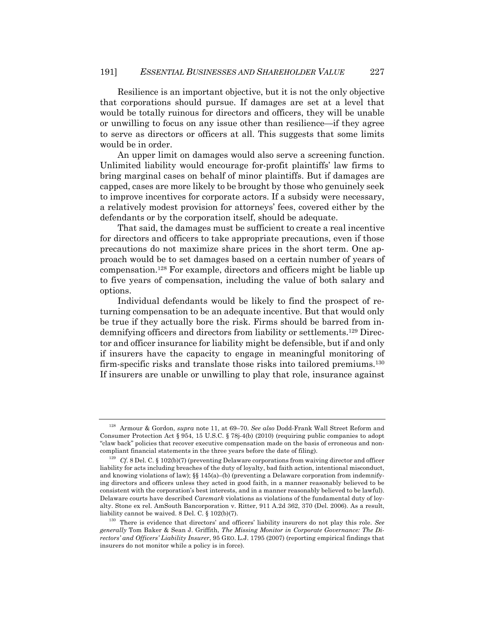Resilience is an important objective, but it is not the only objective that corporations should pursue. If damages are set at a level that would be totally ruinous for directors and officers, they will be unable or unwilling to focus on any issue other than resilience—if they agree to serve as directors or officers at all. This suggests that some limits would be in order.

An upper limit on damages would also serve a screening function. Unlimited liability would encourage for-profit plaintiffs' law firms to bring marginal cases on behalf of minor plaintiffs. But if damages are capped, cases are more likely to be brought by those who genuinely seek to improve incentives for corporate actors. If a subsidy were necessary, a relatively modest provision for attorneys' fees, covered either by the defendants or by the corporation itself, should be adequate.

That said, the damages must be sufficient to create a real incentive for directors and officers to take appropriate precautions, even if those precautions do not maximize share prices in the short term. One approach would be to set damages based on a certain number of years of compensation.128 For example, directors and officers might be liable up to five years of compensation, including the value of both salary and options.

Individual defendants would be likely to find the prospect of returning compensation to be an adequate incentive. But that would only be true if they actually bore the risk. Firms should be barred from indemnifying officers and directors from liability or settlements.129 Director and officer insurance for liability might be defensible, but if and only if insurers have the capacity to engage in meaningful monitoring of firm-specific risks and translate those risks into tailored premiums.130 If insurers are unable or unwilling to play that role, insurance against

<sup>128</sup> Armour & Gordon, *supra* note 11, at 69–70. *See also* Dodd-Frank Wall Street Reform and Consumer Protection Act § 954, 15 U.S.C. § 78j-4(b) (2010) (requiring public companies to adopt "claw back" policies that recover executive compensation made on the basis of erroneous and noncompliant financial statements in the three years before the date of filing).

<sup>&</sup>lt;sup>129</sup> *Cf.* 8 Del. C. § 102(b)(7) (preventing Delaware corporations from waiving director and officer liability for acts including breaches of the duty of loyalty, bad faith action, intentional misconduct, and knowing violations of law); §§ 145(a)–(b) (preventing a Delaware corporation from indemnifying directors and officers unless they acted in good faith, in a manner reasonably believed to be consistent with the corporation's best interests, and in a manner reasonably believed to be lawful). Delaware courts have described *Caremark* violations as violations of the fundamental duty of loyalty. Stone ex rel. AmSouth Bancorporation v. Ritter, 911 A.2d 362, 370 (Del. 2006). As a result, liability cannot be waived. 8 Del. C. § 102(b)(7).

<sup>130</sup> There is evidence that directors' and officers' liability insurers do not play this role. *See generally* Tom Baker & Sean J. Griffith, *The Missing Monitor in Corporate Governance: The Directors' and Officers' Liability Insurer*, 95 GEO. L.J. 1795 (2007) (reporting empirical findings that insurers do not monitor while a policy is in force).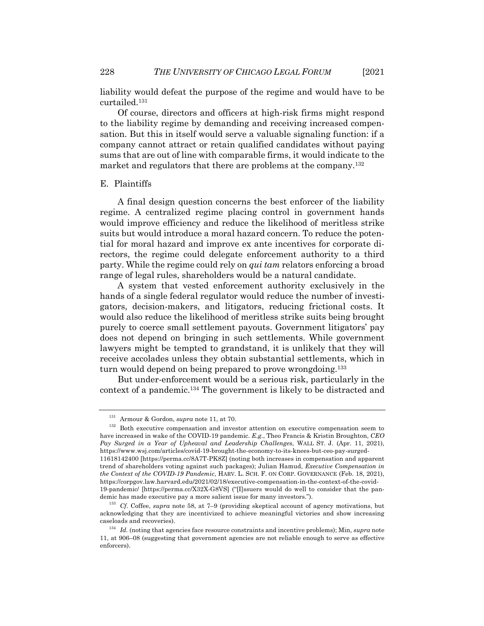liability would defeat the purpose of the regime and would have to be curtailed.131

Of course, directors and officers at high-risk firms might respond to the liability regime by demanding and receiving increased compensation. But this in itself would serve a valuable signaling function: if a company cannot attract or retain qualified candidates without paying sums that are out of line with comparable firms, it would indicate to the market and regulators that there are problems at the company.<sup>132</sup>

#### E. Plaintiffs

A final design question concerns the best enforcer of the liability regime. A centralized regime placing control in government hands would improve efficiency and reduce the likelihood of meritless strike suits but would introduce a moral hazard concern. To reduce the potential for moral hazard and improve ex ante incentives for corporate directors, the regime could delegate enforcement authority to a third party. While the regime could rely on *qui tam* relators enforcing a broad range of legal rules, shareholders would be a natural candidate.

A system that vested enforcement authority exclusively in the hands of a single federal regulator would reduce the number of investigators, decision-makers, and litigators, reducing frictional costs. It would also reduce the likelihood of meritless strike suits being brought purely to coerce small settlement payouts. Government litigators' pay does not depend on bringing in such settlements. While government lawyers might be tempted to grandstand, it is unlikely that they will receive accolades unless they obtain substantial settlements, which in turn would depend on being prepared to prove wrongdoing.<sup>133</sup>

But under-enforcement would be a serious risk, particularly in the context of a pandemic.134 The government is likely to be distracted and

<sup>131</sup> Armour & Gordon, *supra* note 11, at 70.

<sup>&</sup>lt;sup>132</sup> Both executive compensation and investor attention on executive compensation seem to have increased in wake of the COVID-19 pandemic. *E.g.*, Theo Francis & Kristin Broughton, *CEO Pay Surged in a Year of Upheaval and Leadership Challenges*, WALL ST. J. (Apr. 11, 2021), https://www.wsj.com/articles/covid-19-brought-the-economy-to-its-knees-but-ceo-pay-surged-11618142400 [https://perma.cc/8A7T-PK8Z] (noting both increases in compensation and apparent trend of shareholders voting against such packages); Julian Hamud, *Executive Compensation in the Context of the COVID-19 Pandemic*, HARV. L. SCH. F. ON CORP. GOVERNANCE (Feb. 18, 2021), https://corpgov.law.harvard.edu/2021/02/18/executive-compensation-in-the-context-of-the-covid-19-pandemic/ [https://perma.cc/X32X-G8VS] ("[I]ssuers would do well to consider that the pandemic has made executive pay a more salient issue for many investors.").

<sup>133</sup> *Cf.* Coffee, *supra* note 58, at 7–9 (providing skeptical account of agency motivations, but acknowledging that they are incentivized to achieve meaningful victories and show increasing caseloads and recoveries).

<sup>134</sup> *Id.* (noting that agencies face resource constraints and incentive problems); Min, *supra* note 11, at 906–08 (suggesting that government agencies are not reliable enough to serve as effective enforcers).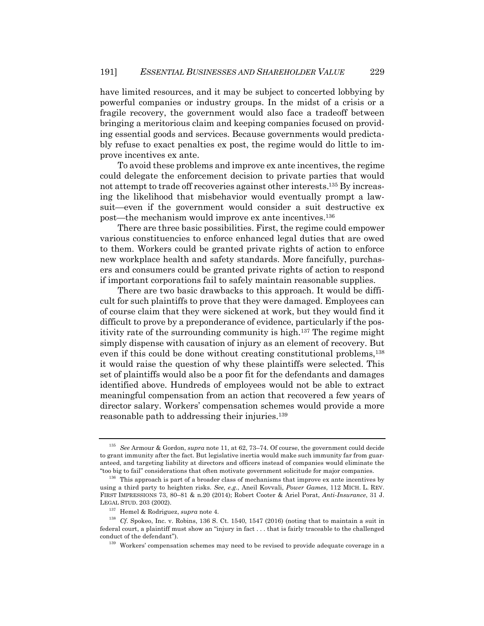have limited resources, and it may be subject to concerted lobbying by powerful companies or industry groups. In the midst of a crisis or a fragile recovery, the government would also face a tradeoff between bringing a meritorious claim and keeping companies focused on providing essential goods and services. Because governments would predictably refuse to exact penalties ex post, the regime would do little to improve incentives ex ante.

To avoid these problems and improve ex ante incentives, the regime could delegate the enforcement decision to private parties that would not attempt to trade off recoveries against other interests.135 By increasing the likelihood that misbehavior would eventually prompt a lawsuit—even if the government would consider a suit destructive ex post—the mechanism would improve ex ante incentives.136

There are three basic possibilities. First, the regime could empower various constituencies to enforce enhanced legal duties that are owed to them. Workers could be granted private rights of action to enforce new workplace health and safety standards. More fancifully, purchasers and consumers could be granted private rights of action to respond if important corporations fail to safely maintain reasonable supplies.

There are two basic drawbacks to this approach. It would be difficult for such plaintiffs to prove that they were damaged. Employees can of course claim that they were sickened at work, but they would find it difficult to prove by a preponderance of evidence, particularly if the positivity rate of the surrounding community is high.<sup>137</sup> The regime might simply dispense with causation of injury as an element of recovery. But even if this could be done without creating constitutional problems,138 it would raise the question of why these plaintiffs were selected. This set of plaintiffs would also be a poor fit for the defendants and damages identified above. Hundreds of employees would not be able to extract meaningful compensation from an action that recovered a few years of director salary. Workers' compensation schemes would provide a more reasonable path to addressing their injuries.139

<sup>135</sup> *See* Armour & Gordon, *supra* note 11, at 62, 73–74. Of course, the government could decide to grant immunity after the fact. But legislative inertia would make such immunity far from guaranteed, and targeting liability at directors and officers instead of companies would eliminate the "too big to fail" considerations that often motivate government solicitude for major companies.

 $136$  This approach is part of a broader class of mechanisms that improve ex ante incentives by using a third party to heighten risks. *See, e.g.*, Aneil Kovvali, *Power Games*, 112 MICH. L. REV. FIRST IMPRESSIONS 73, 80–81 & n.20 (2014); Robert Cooter & Ariel Porat, *Anti-Insurance*, 31 J. LEGAL STUD. 203 (2002).

<sup>137</sup> Hemel & Rodriguez, *supra* note 4.

<sup>&</sup>lt;sup>138</sup> *Cf.* Spokeo, Inc. v. Robins, 136 S. Ct. 1540, 1547 (2016) (noting that to maintain a suit in federal court, a plaintiff must show an "injury in fact . . . that is fairly traceable to the challenged conduct of the defendant").

<sup>&</sup>lt;sup>139</sup> Workers' compensation schemes may need to be revised to provide adequate coverage in a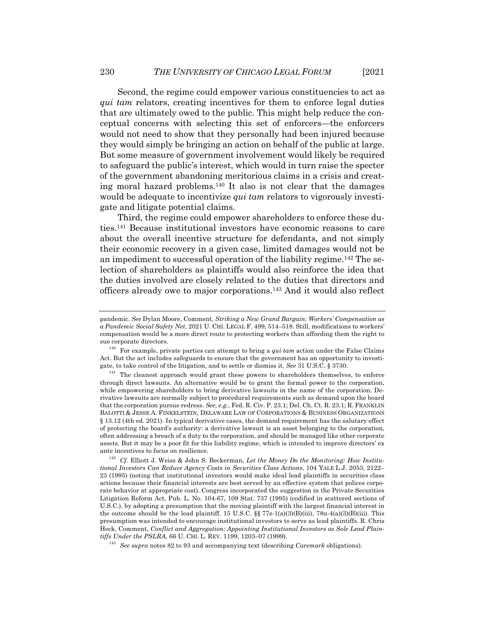Second, the regime could empower various constituencies to act as *qui tam* relators, creating incentives for them to enforce legal duties that are ultimately owed to the public. This might help reduce the conceptual concerns with selecting this set of enforcers—the enforcers would not need to show that they personally had been injured because they would simply be bringing an action on behalf of the public at large. But some measure of government involvement would likely be required to safeguard the public's interest, which would in turn raise the specter of the government abandoning meritorious claims in a crisis and creating moral hazard problems.140 It also is not clear that the damages would be adequate to incentivize *qui tam* relators to vigorously investigate and litigate potential claims.

Third, the regime could empower shareholders to enforce these duties.141 Because institutional investors have economic reasons to care about the overall incentive structure for defendants, and not simply their economic recovery in a given case, limited damages would not be an impediment to successful operation of the liability regime.142 The selection of shareholders as plaintiffs would also reinforce the idea that the duties involved are closely related to the duties that directors and officers already owe to major corporations.143 And it would also reflect

<sup>142</sup> *Cf.* Elliott J. Weiss & John S. Beckerman, *Let the Money Do the Monitoring: How Institutional Investors Can Reduce Agency Costs in Securities Class Actions*, 104 YALE L.J. 2053, 2122– 23 (1995) (noting that institutional investors would make ideal lead plaintiffs in securities class actions because their financial interests are best served by an effective system that polices corporate behavior at appropriate cost). Congress incorporated the suggestion in the Private Securities Litigation Reform Act, Pub. L. No. 104-67, 109 Stat. 737 (1995) (codified in scattered sections of U.S.C.), by adopting a presumption that the moving plaintiff with the largest financial interest in the outcome should be the lead plaintiff. 15 U.S.C.  $\S 77z-1(a)(3)(B)(iii)$ , 78u-4(a)(3)(B)(iii). This presumption was intended to encourage institutional investors to serve as lead plaintiffs. R. Chris Heck, Comment, *Conflict and Aggregation: Appointing Institutional Investors as Sole Lead Plaintiffs Under the PSLRA*, 66 U. CHI. L. REV. 1199, 1203–07 (1999).

<sup>143</sup> *See supra* notes 82 to 93 and accompanying text (describing *Caremark* obligations).

pandemic. *See* Dylan Moore, Comment, *Striking a New Grand Bargain: Workers' Compensation as a Pandemic Social Safety Net*, 2021 U. CHI. LEGAL F. 499, 514–518. Still, modifications to workers' compensation would be a more direct route to protecting workers than affording them the right to sue corporate directors.

<sup>140</sup> For example, private parties can attempt to bring a *qui tam* action under the False Claims Act. But the act includes safeguards to ensure that the government has an opportunity to investigate, to take control of the litigation, and to settle or dismiss it. *See* 31 U.S.C. § 3730.

<sup>&</sup>lt;sup>141</sup> The cleanest approach would grant these powers to shareholders themselves, to enforce through direct lawsuits. An alternative would be to grant the formal power to the corporation, while empowering shareholders to bring derivative lawsuits in the name of the corporation. Derivative lawsuits are normally subject to procedural requirements such as demand upon the board that the corporation pursue redress. *See, e.g.*, Fed. R. Civ. P. 23.1; Del. Ch. Ct. R. 23.1; R. FRANKLIN BALOTTI & JESSE A. FINKELSTEIN, DELAWARE LAW OF CORPORATIONS & BUSINESS ORGANIZATIONS § 13.12 (4th ed. 2021). In typical derivative cases, the demand requirement has the salutary effect of protecting the board's authority: a derivative lawsuit is an asset belonging to the corporation, often addressing a breach of a duty to the corporation, and should be managed like other corporate assets. But it may be a poor fit for this liability regime, which is intended to improve directors' ex ante incentives to focus on resilience.